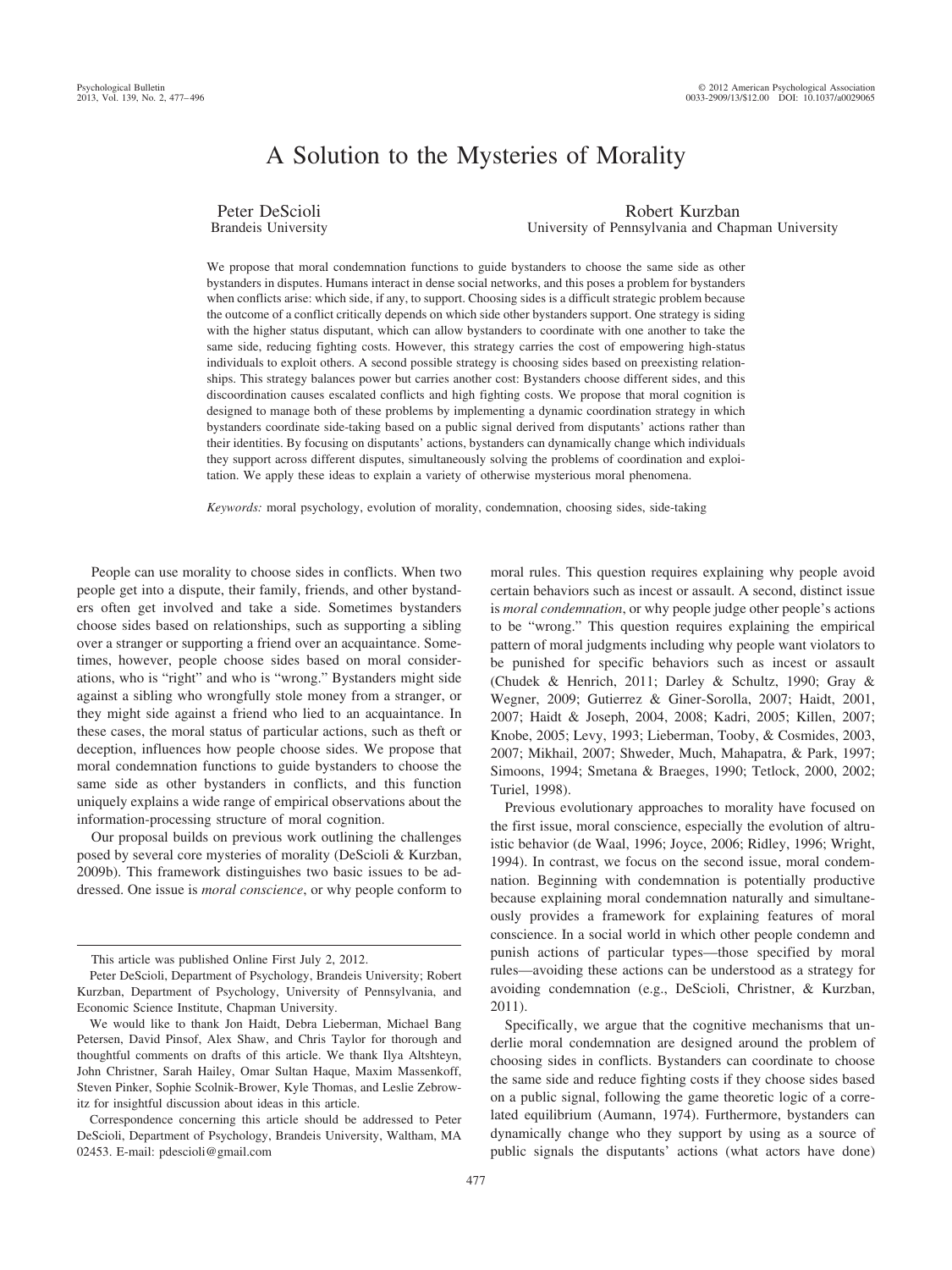# A Solution to the Mysteries of Morality

Peter DeScioli Brandeis University

Robert Kurzban University of Pennsylvania and Chapman University

We propose that moral condemnation functions to guide bystanders to choose the same side as other bystanders in disputes. Humans interact in dense social networks, and this poses a problem for bystanders when conflicts arise: which side, if any, to support. Choosing sides is a difficult strategic problem because the outcome of a conflict critically depends on which side other bystanders support. One strategy is siding with the higher status disputant, which can allow bystanders to coordinate with one another to take the same side, reducing fighting costs. However, this strategy carries the cost of empowering high-status individuals to exploit others. A second possible strategy is choosing sides based on preexisting relationships. This strategy balances power but carries another cost: Bystanders choose different sides, and this discoordination causes escalated conflicts and high fighting costs. We propose that moral cognition is designed to manage both of these problems by implementing a dynamic coordination strategy in which bystanders coordinate side-taking based on a public signal derived from disputants' actions rather than their identities. By focusing on disputants' actions, bystanders can dynamically change which individuals they support across different disputes, simultaneously solving the problems of coordination and exploitation. We apply these ideas to explain a variety of otherwise mysterious moral phenomena.

*Keywords:* moral psychology, evolution of morality, condemnation, choosing sides, side-taking

People can use morality to choose sides in conflicts. When two people get into a dispute, their family, friends, and other bystanders often get involved and take a side. Sometimes bystanders choose sides based on relationships, such as supporting a sibling over a stranger or supporting a friend over an acquaintance. Sometimes, however, people choose sides based on moral considerations, who is "right" and who is "wrong." Bystanders might side against a sibling who wrongfully stole money from a stranger, or they might side against a friend who lied to an acquaintance. In these cases, the moral status of particular actions, such as theft or deception, influences how people choose sides. We propose that moral condemnation functions to guide bystanders to choose the same side as other bystanders in conflicts, and this function uniquely explains a wide range of empirical observations about the information-processing structure of moral cognition.

Our proposal builds on previous work outlining the challenges posed by several core mysteries of morality (DeScioli & Kurzban, 2009b). This framework distinguishes two basic issues to be addressed. One issue is *moral conscience*, or why people conform to

moral rules. This question requires explaining why people avoid certain behaviors such as incest or assault. A second, distinct issue is *moral condemnation*, or why people judge other people's actions to be "wrong." This question requires explaining the empirical pattern of moral judgments including why people want violators to be punished for specific behaviors such as incest or assault (Chudek & Henrich, 2011; Darley & Schultz, 1990; Gray & Wegner, 2009; Gutierrez & Giner-Sorolla, 2007; Haidt, 2001, 2007; Haidt & Joseph, 2004, 2008; Kadri, 2005; Killen, 2007; Knobe, 2005; Levy, 1993; Lieberman, Tooby, & Cosmides, 2003, 2007; Mikhail, 2007; Shweder, Much, Mahapatra, & Park, 1997; Simoons, 1994; Smetana & Braeges, 1990; Tetlock, 2000, 2002; Turiel, 1998).

Previous evolutionary approaches to morality have focused on the first issue, moral conscience, especially the evolution of altruistic behavior (de Waal, 1996; Joyce, 2006; Ridley, 1996; Wright, 1994). In contrast, we focus on the second issue, moral condemnation. Beginning with condemnation is potentially productive because explaining moral condemnation naturally and simultaneously provides a framework for explaining features of moral conscience. In a social world in which other people condemn and punish actions of particular types—those specified by moral rules—avoiding these actions can be understood as a strategy for avoiding condemnation (e.g., DeScioli, Christner, & Kurzban, 2011).

Specifically, we argue that the cognitive mechanisms that underlie moral condemnation are designed around the problem of choosing sides in conflicts. Bystanders can coordinate to choose the same side and reduce fighting costs if they choose sides based on a public signal, following the game theoretic logic of a correlated equilibrium (Aumann, 1974). Furthermore, bystanders can dynamically change who they support by using as a source of public signals the disputants' actions (what actors have done)

This article was published Online First July 2, 2012.

Peter DeScioli, Department of Psychology, Brandeis University; Robert Kurzban, Department of Psychology, University of Pennsylvania, and Economic Science Institute, Chapman University.

We would like to thank Jon Haidt, Debra Lieberman, Michael Bang Petersen, David Pinsof, Alex Shaw, and Chris Taylor for thorough and thoughtful comments on drafts of this article. We thank Ilya Altshteyn, John Christner, Sarah Hailey, Omar Sultan Haque, Maxim Massenkoff, Steven Pinker, Sophie Scolnik-Brower, Kyle Thomas, and Leslie Zebrowitz for insightful discussion about ideas in this article.

Correspondence concerning this article should be addressed to Peter DeScioli, Department of Psychology, Brandeis University, Waltham, MA 02453. E-mail: pdescioli@gmail.com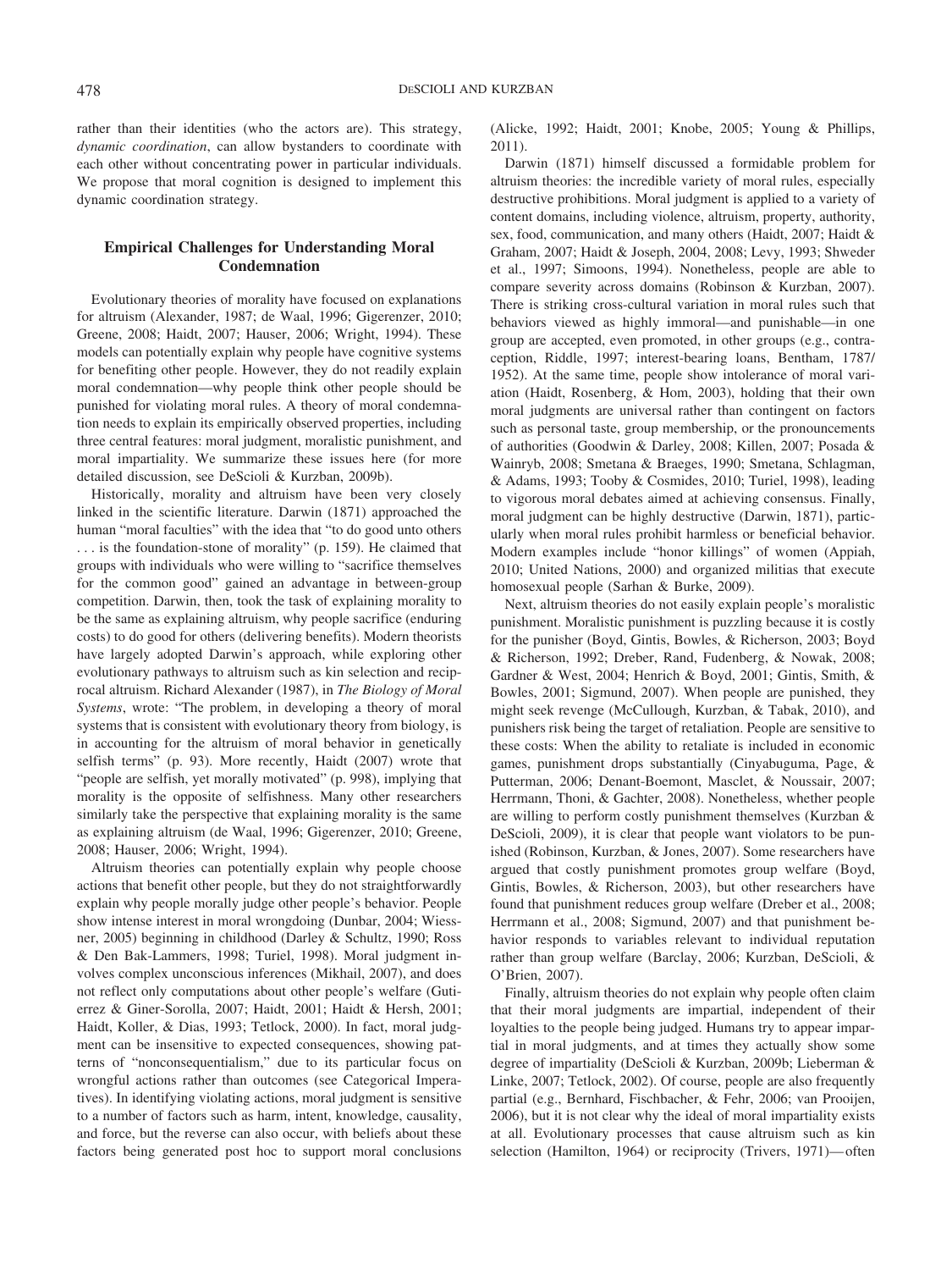rather than their identities (who the actors are). This strategy, *dynamic coordination*, can allow bystanders to coordinate with each other without concentrating power in particular individuals. We propose that moral cognition is designed to implement this dynamic coordination strategy.

## **Empirical Challenges for Understanding Moral Condemnation**

Evolutionary theories of morality have focused on explanations for altruism (Alexander, 1987; de Waal, 1996; Gigerenzer, 2010; Greene, 2008; Haidt, 2007; Hauser, 2006; Wright, 1994). These models can potentially explain why people have cognitive systems for benefiting other people. However, they do not readily explain moral condemnation—why people think other people should be punished for violating moral rules. A theory of moral condemnation needs to explain its empirically observed properties, including three central features: moral judgment, moralistic punishment, and moral impartiality. We summarize these issues here (for more detailed discussion, see DeScioli & Kurzban, 2009b).

Historically, morality and altruism have been very closely linked in the scientific literature. Darwin (1871) approached the human "moral faculties" with the idea that "to do good unto others . . . is the foundation-stone of morality" (p. 159). He claimed that groups with individuals who were willing to "sacrifice themselves for the common good" gained an advantage in between-group competition. Darwin, then, took the task of explaining morality to be the same as explaining altruism, why people sacrifice (enduring costs) to do good for others (delivering benefits). Modern theorists have largely adopted Darwin's approach, while exploring other evolutionary pathways to altruism such as kin selection and reciprocal altruism. Richard Alexander (1987), in *The Biology of Moral Systems*, wrote: "The problem, in developing a theory of moral systems that is consistent with evolutionary theory from biology, is in accounting for the altruism of moral behavior in genetically selfish terms" (p. 93). More recently, Haidt (2007) wrote that "people are selfish, yet morally motivated" (p. 998), implying that morality is the opposite of selfishness. Many other researchers similarly take the perspective that explaining morality is the same as explaining altruism (de Waal, 1996; Gigerenzer, 2010; Greene, 2008; Hauser, 2006; Wright, 1994).

Altruism theories can potentially explain why people choose actions that benefit other people, but they do not straightforwardly explain why people morally judge other people's behavior. People show intense interest in moral wrongdoing (Dunbar, 2004; Wiessner, 2005) beginning in childhood (Darley & Schultz, 1990; Ross & Den Bak-Lammers, 1998; Turiel, 1998). Moral judgment involves complex unconscious inferences (Mikhail, 2007), and does not reflect only computations about other people's welfare (Gutierrez & Giner-Sorolla, 2007; Haidt, 2001; Haidt & Hersh, 2001; Haidt, Koller, & Dias, 1993; Tetlock, 2000). In fact, moral judgment can be insensitive to expected consequences, showing patterns of "nonconsequentialism," due to its particular focus on wrongful actions rather than outcomes (see Categorical Imperatives). In identifying violating actions, moral judgment is sensitive to a number of factors such as harm, intent, knowledge, causality, and force, but the reverse can also occur, with beliefs about these factors being generated post hoc to support moral conclusions

(Alicke, 1992; Haidt, 2001; Knobe, 2005; Young & Phillips, 2011).

Darwin (1871) himself discussed a formidable problem for altruism theories: the incredible variety of moral rules, especially destructive prohibitions. Moral judgment is applied to a variety of content domains, including violence, altruism, property, authority, sex, food, communication, and many others (Haidt, 2007; Haidt & Graham, 2007; Haidt & Joseph, 2004, 2008; Levy, 1993; Shweder et al., 1997; Simoons, 1994). Nonetheless, people are able to compare severity across domains (Robinson & Kurzban, 2007). There is striking cross-cultural variation in moral rules such that behaviors viewed as highly immoral—and punishable—in one group are accepted, even promoted, in other groups (e.g., contraception, Riddle, 1997; interest-bearing loans, Bentham, 1787/ 1952). At the same time, people show intolerance of moral variation (Haidt, Rosenberg, & Hom, 2003), holding that their own moral judgments are universal rather than contingent on factors such as personal taste, group membership, or the pronouncements of authorities (Goodwin & Darley, 2008; Killen, 2007; Posada & Wainryb, 2008; Smetana & Braeges, 1990; Smetana, Schlagman, & Adams, 1993; Tooby & Cosmides, 2010; Turiel, 1998), leading to vigorous moral debates aimed at achieving consensus. Finally, moral judgment can be highly destructive (Darwin, 1871), particularly when moral rules prohibit harmless or beneficial behavior. Modern examples include "honor killings" of women (Appiah, 2010; United Nations, 2000) and organized militias that execute homosexual people (Sarhan & Burke, 2009).

Next, altruism theories do not easily explain people's moralistic punishment. Moralistic punishment is puzzling because it is costly for the punisher (Boyd, Gintis, Bowles, & Richerson, 2003; Boyd & Richerson, 1992; Dreber, Rand, Fudenberg, & Nowak, 2008; Gardner & West, 2004; Henrich & Boyd, 2001; Gintis, Smith, & Bowles, 2001; Sigmund, 2007). When people are punished, they might seek revenge (McCullough, Kurzban, & Tabak, 2010), and punishers risk being the target of retaliation. People are sensitive to these costs: When the ability to retaliate is included in economic games, punishment drops substantially (Cinyabuguma, Page, & Putterman, 2006; Denant-Boemont, Masclet, & Noussair, 2007; Herrmann, Thoni, & Gachter, 2008). Nonetheless, whether people are willing to perform costly punishment themselves (Kurzban & DeScioli, 2009), it is clear that people want violators to be punished (Robinson, Kurzban, & Jones, 2007). Some researchers have argued that costly punishment promotes group welfare (Boyd, Gintis, Bowles, & Richerson, 2003), but other researchers have found that punishment reduces group welfare (Dreber et al., 2008; Herrmann et al., 2008; Sigmund, 2007) and that punishment behavior responds to variables relevant to individual reputation rather than group welfare (Barclay, 2006; Kurzban, DeScioli, & O'Brien, 2007).

Finally, altruism theories do not explain why people often claim that their moral judgments are impartial, independent of their loyalties to the people being judged. Humans try to appear impartial in moral judgments, and at times they actually show some degree of impartiality (DeScioli & Kurzban, 2009b; Lieberman & Linke, 2007; Tetlock, 2002). Of course, people are also frequently partial (e.g., Bernhard, Fischbacher, & Fehr, 2006; van Prooijen, 2006), but it is not clear why the ideal of moral impartiality exists at all. Evolutionary processes that cause altruism such as kin selection (Hamilton, 1964) or reciprocity (Trivers, 1971)—often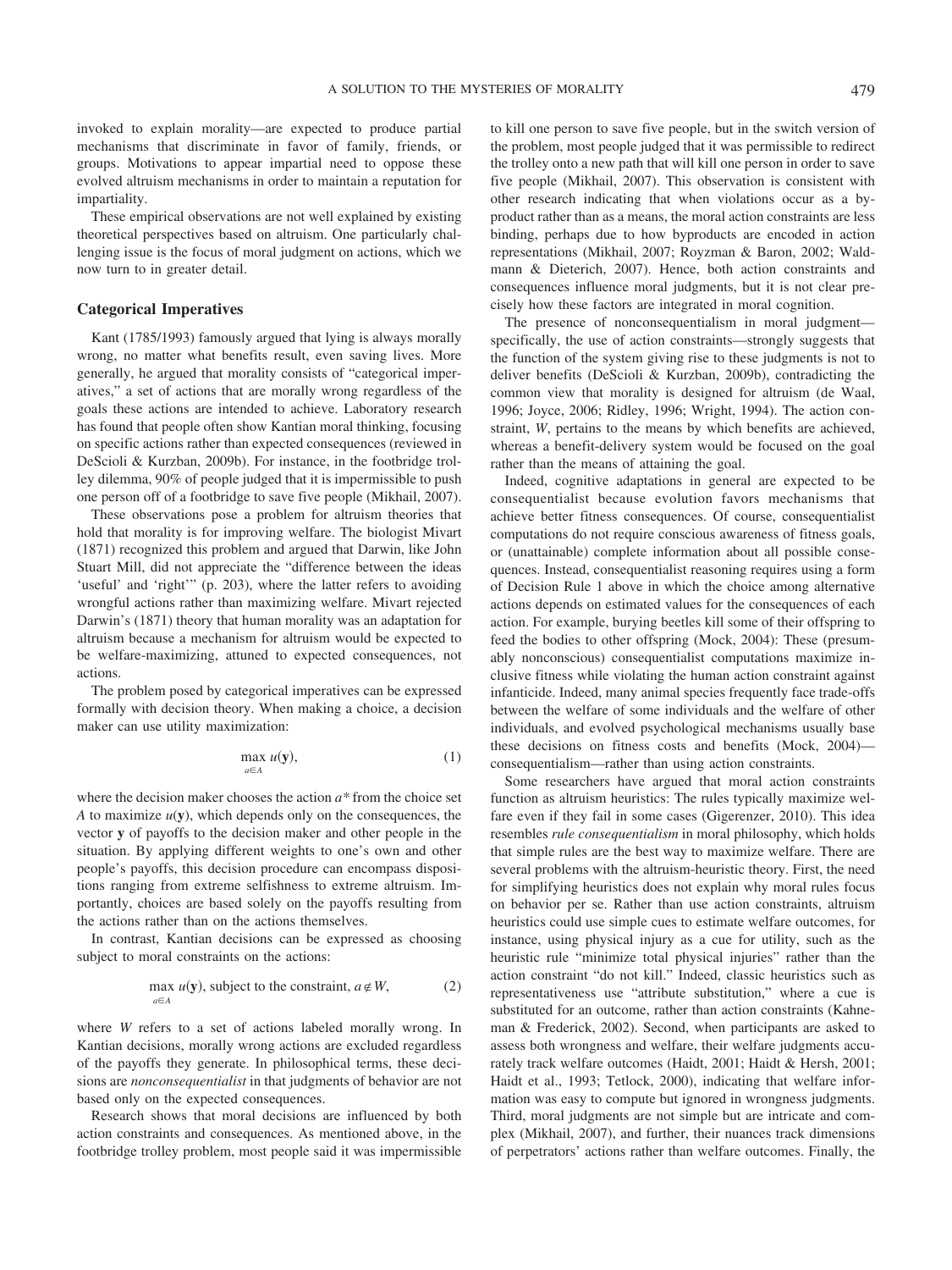invoked to explain morality—are expected to produce partial mechanisms that discriminate in favor of family, friends, or groups. Motivations to appear impartial need to oppose these evolved altruism mechanisms in order to maintain a reputation for impartiality.

These empirical observations are not well explained by existing theoretical perspectives based on altruism. One particularly challenging issue is the focus of moral judgment on actions, which we now turn to in greater detail.

## **Categorical Imperatives**

Kant (1785/1993) famously argued that lying is always morally wrong, no matter what benefits result, even saving lives. More generally, he argued that morality consists of "categorical imperatives," a set of actions that are morally wrong regardless of the goals these actions are intended to achieve. Laboratory research has found that people often show Kantian moral thinking, focusing on specific actions rather than expected consequences (reviewed in DeScioli & Kurzban, 2009b). For instance, in the footbridge trolley dilemma, 90% of people judged that it is impermissible to push one person off of a footbridge to save five people (Mikhail, 2007).

These observations pose a problem for altruism theories that hold that morality is for improving welfare. The biologist Mivart (1871) recognized this problem and argued that Darwin, like John Stuart Mill, did not appreciate the "difference between the ideas 'useful' and 'right'" (p. 203), where the latter refers to avoiding wrongful actions rather than maximizing welfare. Mivart rejected Darwin's (1871) theory that human morality was an adaptation for altruism because a mechanism for altruism would be expected to be welfare-maximizing, attuned to expected consequences, not actions.

The problem posed by categorical imperatives can be expressed formally with decision theory. When making a choice, a decision maker can use utility maximization:

$$
\max_{a \in A} u(\mathbf{y}),\tag{1}
$$

where the decision maker chooses the action *a\** from the choice set *A* to maximize *u*(**y**), which depends only on the consequences, the vector **y** of payoffs to the decision maker and other people in the situation. By applying different weights to one's own and other people's payoffs, this decision procedure can encompass dispositions ranging from extreme selfishness to extreme altruism. Importantly, choices are based solely on the payoffs resulting from the actions rather than on the actions themselves.

In contrast, Kantian decisions can be expressed as choosing subject to moral constraints on the actions:

$$
\max_{a \in A} u(\mathbf{y}), \text{ subject to the constraint}, a \notin W, \tag{2}
$$

where *W* refers to a set of actions labeled morally wrong. In Kantian decisions, morally wrong actions are excluded regardless of the payoffs they generate. In philosophical terms, these decisions are *nonconsequentialist* in that judgments of behavior are not based only on the expected consequences.

Research shows that moral decisions are influenced by both action constraints and consequences. As mentioned above, in the footbridge trolley problem, most people said it was impermissible to kill one person to save five people, but in the switch version of the problem, most people judged that it was permissible to redirect the trolley onto a new path that will kill one person in order to save five people (Mikhail, 2007). This observation is consistent with other research indicating that when violations occur as a byproduct rather than as a means, the moral action constraints are less binding, perhaps due to how byproducts are encoded in action representations (Mikhail, 2007; Royzman & Baron, 2002; Waldmann & Dieterich, 2007). Hence, both action constraints and consequences influence moral judgments, but it is not clear precisely how these factors are integrated in moral cognition.

The presence of nonconsequentialism in moral judgment specifically, the use of action constraints—strongly suggests that the function of the system giving rise to these judgments is not to deliver benefits (DeScioli & Kurzban, 2009b), contradicting the common view that morality is designed for altruism (de Waal, 1996; Joyce, 2006; Ridley, 1996; Wright, 1994). The action constraint, *W*, pertains to the means by which benefits are achieved, whereas a benefit-delivery system would be focused on the goal rather than the means of attaining the goal.

Indeed, cognitive adaptations in general are expected to be consequentialist because evolution favors mechanisms that achieve better fitness consequences. Of course, consequentialist computations do not require conscious awareness of fitness goals, or (unattainable) complete information about all possible consequences. Instead, consequentialist reasoning requires using a form of Decision Rule 1 above in which the choice among alternative actions depends on estimated values for the consequences of each action. For example, burying beetles kill some of their offspring to feed the bodies to other offspring (Mock, 2004): These (presumably nonconscious) consequentialist computations maximize inclusive fitness while violating the human action constraint against infanticide. Indeed, many animal species frequently face trade-offs between the welfare of some individuals and the welfare of other individuals, and evolved psychological mechanisms usually base these decisions on fitness costs and benefits (Mock, 2004) consequentialism—rather than using action constraints.

Some researchers have argued that moral action constraints function as altruism heuristics: The rules typically maximize welfare even if they fail in some cases (Gigerenzer, 2010). This idea resembles *rule consequentialism* in moral philosophy, which holds that simple rules are the best way to maximize welfare. There are several problems with the altruism-heuristic theory. First, the need for simplifying heuristics does not explain why moral rules focus on behavior per se. Rather than use action constraints, altruism heuristics could use simple cues to estimate welfare outcomes, for instance, using physical injury as a cue for utility, such as the heuristic rule "minimize total physical injuries" rather than the action constraint "do not kill." Indeed, classic heuristics such as representativeness use "attribute substitution," where a cue is substituted for an outcome, rather than action constraints (Kahneman & Frederick, 2002). Second, when participants are asked to assess both wrongness and welfare, their welfare judgments accurately track welfare outcomes (Haidt, 2001; Haidt & Hersh, 2001; Haidt et al., 1993; Tetlock, 2000), indicating that welfare information was easy to compute but ignored in wrongness judgments. Third, moral judgments are not simple but are intricate and complex (Mikhail, 2007), and further, their nuances track dimensions of perpetrators' actions rather than welfare outcomes. Finally, the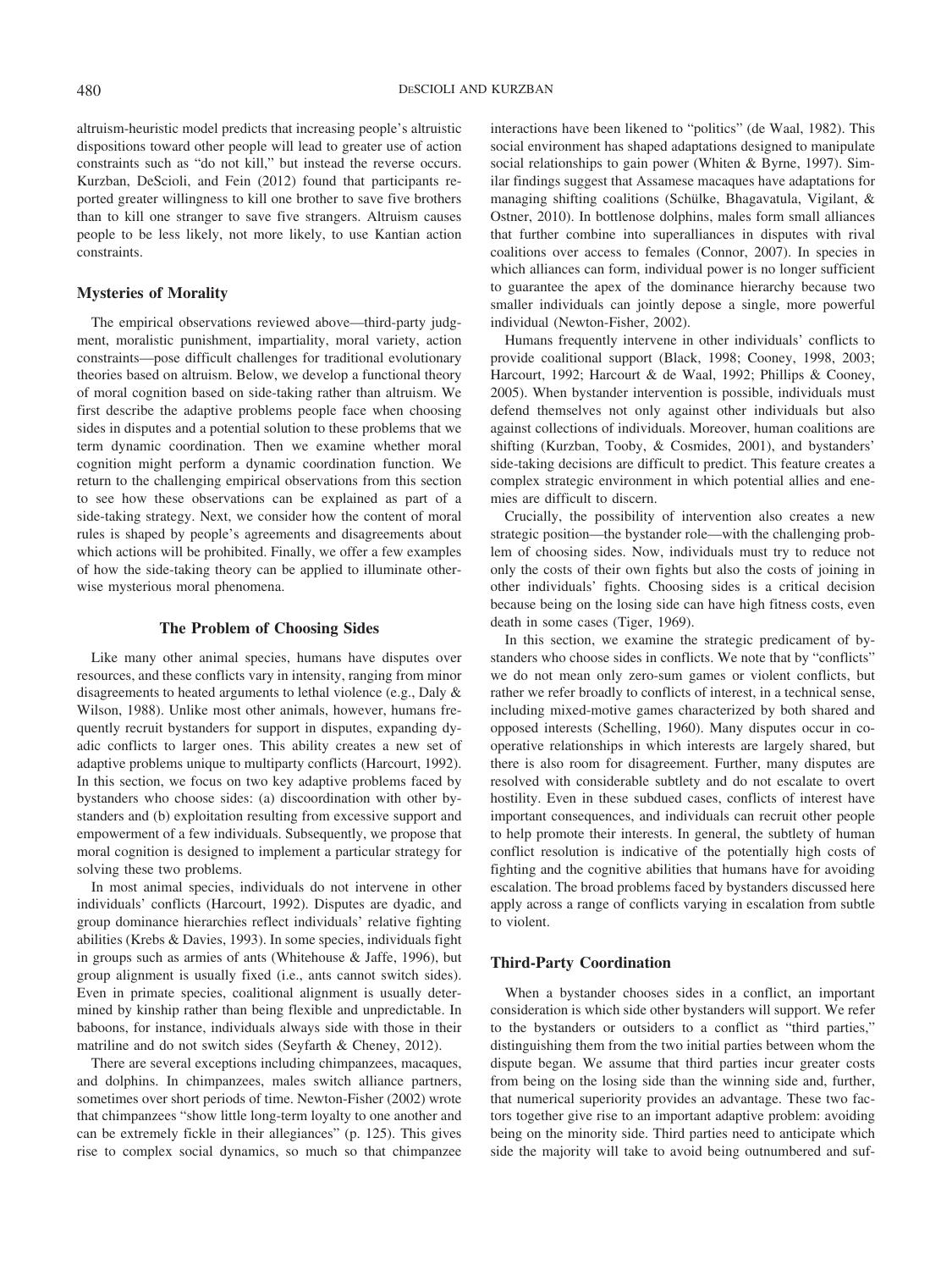altruism-heuristic model predicts that increasing people's altruistic dispositions toward other people will lead to greater use of action constraints such as "do not kill," but instead the reverse occurs. Kurzban, DeScioli, and Fein (2012) found that participants reported greater willingness to kill one brother to save five brothers than to kill one stranger to save five strangers. Altruism causes people to be less likely, not more likely, to use Kantian action constraints.

#### **Mysteries of Morality**

The empirical observations reviewed above—third-party judgment, moralistic punishment, impartiality, moral variety, action constraints—pose difficult challenges for traditional evolutionary theories based on altruism. Below, we develop a functional theory of moral cognition based on side-taking rather than altruism. We first describe the adaptive problems people face when choosing sides in disputes and a potential solution to these problems that we term dynamic coordination. Then we examine whether moral cognition might perform a dynamic coordination function. We return to the challenging empirical observations from this section to see how these observations can be explained as part of a side-taking strategy. Next, we consider how the content of moral rules is shaped by people's agreements and disagreements about which actions will be prohibited. Finally, we offer a few examples of how the side-taking theory can be applied to illuminate otherwise mysterious moral phenomena.

#### **The Problem of Choosing Sides**

Like many other animal species, humans have disputes over resources, and these conflicts vary in intensity, ranging from minor disagreements to heated arguments to lethal violence (e.g., Daly & Wilson, 1988). Unlike most other animals, however, humans frequently recruit bystanders for support in disputes, expanding dyadic conflicts to larger ones. This ability creates a new set of adaptive problems unique to multiparty conflicts (Harcourt, 1992). In this section, we focus on two key adaptive problems faced by bystanders who choose sides: (a) discoordination with other bystanders and (b) exploitation resulting from excessive support and empowerment of a few individuals. Subsequently, we propose that moral cognition is designed to implement a particular strategy for solving these two problems.

In most animal species, individuals do not intervene in other individuals' conflicts (Harcourt, 1992). Disputes are dyadic, and group dominance hierarchies reflect individuals' relative fighting abilities (Krebs & Davies, 1993). In some species, individuals fight in groups such as armies of ants (Whitehouse & Jaffe, 1996), but group alignment is usually fixed (i.e., ants cannot switch sides). Even in primate species, coalitional alignment is usually determined by kinship rather than being flexible and unpredictable. In baboons, for instance, individuals always side with those in their matriline and do not switch sides (Seyfarth & Cheney, 2012).

There are several exceptions including chimpanzees, macaques, and dolphins. In chimpanzees, males switch alliance partners, sometimes over short periods of time. Newton-Fisher (2002) wrote that chimpanzees "show little long-term loyalty to one another and can be extremely fickle in their allegiances" (p. 125). This gives rise to complex social dynamics, so much so that chimpanzee interactions have been likened to "politics" (de Waal, 1982). This social environment has shaped adaptations designed to manipulate social relationships to gain power (Whiten & Byrne, 1997). Similar findings suggest that Assamese macaques have adaptations for managing shifting coalitions (Schülke, Bhagavatula, Vigilant,  $\&$ Ostner, 2010). In bottlenose dolphins, males form small alliances that further combine into superalliances in disputes with rival coalitions over access to females (Connor, 2007). In species in which alliances can form, individual power is no longer sufficient to guarantee the apex of the dominance hierarchy because two smaller individuals can jointly depose a single, more powerful individual (Newton-Fisher, 2002).

Humans frequently intervene in other individuals' conflicts to provide coalitional support (Black, 1998; Cooney, 1998, 2003; Harcourt, 1992; Harcourt & de Waal, 1992; Phillips & Cooney, 2005). When bystander intervention is possible, individuals must defend themselves not only against other individuals but also against collections of individuals. Moreover, human coalitions are shifting (Kurzban, Tooby, & Cosmides, 2001), and bystanders' side-taking decisions are difficult to predict. This feature creates a complex strategic environment in which potential allies and enemies are difficult to discern.

Crucially, the possibility of intervention also creates a new strategic position—the bystander role—with the challenging problem of choosing sides. Now, individuals must try to reduce not only the costs of their own fights but also the costs of joining in other individuals' fights. Choosing sides is a critical decision because being on the losing side can have high fitness costs, even death in some cases (Tiger, 1969).

In this section, we examine the strategic predicament of bystanders who choose sides in conflicts. We note that by "conflicts" we do not mean only zero-sum games or violent conflicts, but rather we refer broadly to conflicts of interest, in a technical sense, including mixed-motive games characterized by both shared and opposed interests (Schelling, 1960). Many disputes occur in cooperative relationships in which interests are largely shared, but there is also room for disagreement. Further, many disputes are resolved with considerable subtlety and do not escalate to overt hostility. Even in these subdued cases, conflicts of interest have important consequences, and individuals can recruit other people to help promote their interests. In general, the subtlety of human conflict resolution is indicative of the potentially high costs of fighting and the cognitive abilities that humans have for avoiding escalation. The broad problems faced by bystanders discussed here apply across a range of conflicts varying in escalation from subtle to violent.

#### **Third-Party Coordination**

When a bystander chooses sides in a conflict, an important consideration is which side other bystanders will support. We refer to the bystanders or outsiders to a conflict as "third parties," distinguishing them from the two initial parties between whom the dispute began. We assume that third parties incur greater costs from being on the losing side than the winning side and, further, that numerical superiority provides an advantage. These two factors together give rise to an important adaptive problem: avoiding being on the minority side. Third parties need to anticipate which side the majority will take to avoid being outnumbered and suf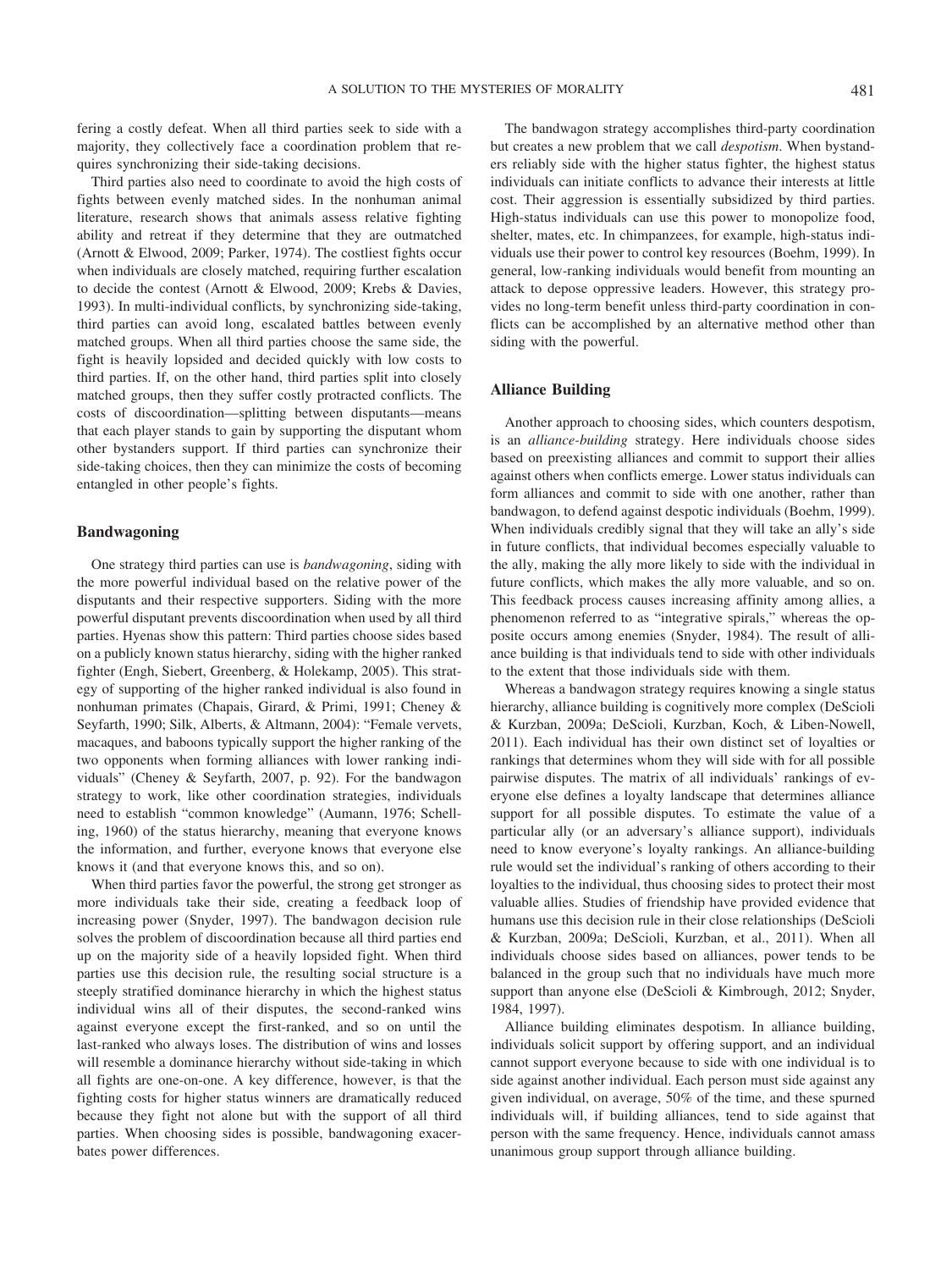fering a costly defeat. When all third parties seek to side with a majority, they collectively face a coordination problem that requires synchronizing their side-taking decisions.

Third parties also need to coordinate to avoid the high costs of fights between evenly matched sides. In the nonhuman animal literature, research shows that animals assess relative fighting ability and retreat if they determine that they are outmatched (Arnott & Elwood, 2009; Parker, 1974). The costliest fights occur when individuals are closely matched, requiring further escalation to decide the contest (Arnott & Elwood, 2009; Krebs & Davies, 1993). In multi-individual conflicts, by synchronizing side-taking, third parties can avoid long, escalated battles between evenly matched groups. When all third parties choose the same side, the fight is heavily lopsided and decided quickly with low costs to third parties. If, on the other hand, third parties split into closely matched groups, then they suffer costly protracted conflicts. The costs of discoordination—splitting between disputants—means that each player stands to gain by supporting the disputant whom other bystanders support. If third parties can synchronize their side-taking choices, then they can minimize the costs of becoming entangled in other people's fights.

#### **Bandwagoning**

One strategy third parties can use is *bandwagoning*, siding with the more powerful individual based on the relative power of the disputants and their respective supporters. Siding with the more powerful disputant prevents discoordination when used by all third parties. Hyenas show this pattern: Third parties choose sides based on a publicly known status hierarchy, siding with the higher ranked fighter (Engh, Siebert, Greenberg, & Holekamp, 2005). This strategy of supporting of the higher ranked individual is also found in nonhuman primates (Chapais, Girard, & Primi, 1991; Cheney & Seyfarth, 1990; Silk, Alberts, & Altmann, 2004): "Female vervets, macaques, and baboons typically support the higher ranking of the two opponents when forming alliances with lower ranking individuals" (Cheney & Seyfarth, 2007, p. 92). For the bandwagon strategy to work, like other coordination strategies, individuals need to establish "common knowledge" (Aumann, 1976; Schelling, 1960) of the status hierarchy, meaning that everyone knows the information, and further, everyone knows that everyone else knows it (and that everyone knows this, and so on).

When third parties favor the powerful, the strong get stronger as more individuals take their side, creating a feedback loop of increasing power (Snyder, 1997). The bandwagon decision rule solves the problem of discoordination because all third parties end up on the majority side of a heavily lopsided fight. When third parties use this decision rule, the resulting social structure is a steeply stratified dominance hierarchy in which the highest status individual wins all of their disputes, the second-ranked wins against everyone except the first-ranked, and so on until the last-ranked who always loses. The distribution of wins and losses will resemble a dominance hierarchy without side-taking in which all fights are one-on-one. A key difference, however, is that the fighting costs for higher status winners are dramatically reduced because they fight not alone but with the support of all third parties. When choosing sides is possible, bandwagoning exacerbates power differences.

The bandwagon strategy accomplishes third-party coordination but creates a new problem that we call *despotism*. When bystanders reliably side with the higher status fighter, the highest status individuals can initiate conflicts to advance their interests at little cost. Their aggression is essentially subsidized by third parties. High-status individuals can use this power to monopolize food, shelter, mates, etc. In chimpanzees, for example, high-status individuals use their power to control key resources (Boehm, 1999). In general, low-ranking individuals would benefit from mounting an attack to depose oppressive leaders. However, this strategy provides no long-term benefit unless third-party coordination in conflicts can be accomplished by an alternative method other than siding with the powerful.

## **Alliance Building**

Another approach to choosing sides, which counters despotism, is an *alliance-building* strategy. Here individuals choose sides based on preexisting alliances and commit to support their allies against others when conflicts emerge. Lower status individuals can form alliances and commit to side with one another, rather than bandwagon, to defend against despotic individuals (Boehm, 1999). When individuals credibly signal that they will take an ally's side in future conflicts, that individual becomes especially valuable to the ally, making the ally more likely to side with the individual in future conflicts, which makes the ally more valuable, and so on. This feedback process causes increasing affinity among allies, a phenomenon referred to as "integrative spirals," whereas the opposite occurs among enemies (Snyder, 1984). The result of alliance building is that individuals tend to side with other individuals to the extent that those individuals side with them.

Whereas a bandwagon strategy requires knowing a single status hierarchy, alliance building is cognitively more complex (DeScioli & Kurzban, 2009a; DeScioli, Kurzban, Koch, & Liben-Nowell, 2011). Each individual has their own distinct set of loyalties or rankings that determines whom they will side with for all possible pairwise disputes. The matrix of all individuals' rankings of everyone else defines a loyalty landscape that determines alliance support for all possible disputes. To estimate the value of a particular ally (or an adversary's alliance support), individuals need to know everyone's loyalty rankings. An alliance-building rule would set the individual's ranking of others according to their loyalties to the individual, thus choosing sides to protect their most valuable allies. Studies of friendship have provided evidence that humans use this decision rule in their close relationships (DeScioli & Kurzban, 2009a; DeScioli, Kurzban, et al., 2011). When all individuals choose sides based on alliances, power tends to be balanced in the group such that no individuals have much more support than anyone else (DeScioli & Kimbrough, 2012; Snyder, 1984, 1997).

Alliance building eliminates despotism. In alliance building, individuals solicit support by offering support, and an individual cannot support everyone because to side with one individual is to side against another individual. Each person must side against any given individual, on average, 50% of the time, and these spurned individuals will, if building alliances, tend to side against that person with the same frequency. Hence, individuals cannot amass unanimous group support through alliance building.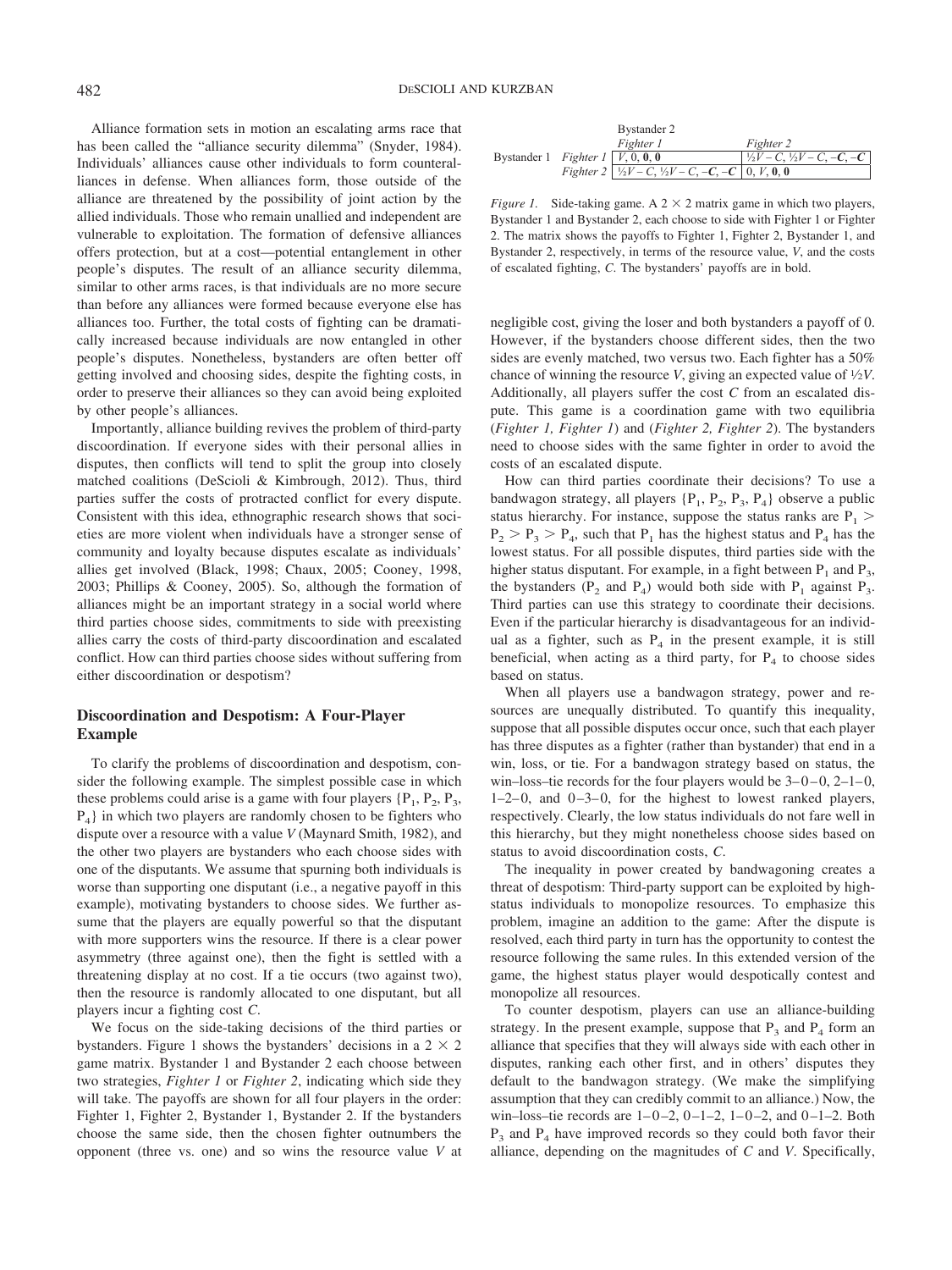Alliance formation sets in motion an escalating arms race that has been called the "alliance security dilemma" (Snyder, 1984). Individuals' alliances cause other individuals to form counteralliances in defense. When alliances form, those outside of the alliance are threatened by the possibility of joint action by the allied individuals. Those who remain unallied and independent are vulnerable to exploitation. The formation of defensive alliances offers protection, but at a cost—potential entanglement in other people's disputes. The result of an alliance security dilemma, similar to other arms races, is that individuals are no more secure than before any alliances were formed because everyone else has alliances too. Further, the total costs of fighting can be dramatically increased because individuals are now entangled in other people's disputes. Nonetheless, bystanders are often better off getting involved and choosing sides, despite the fighting costs, in order to preserve their alliances so they can avoid being exploited by other people's alliances.

Importantly, alliance building revives the problem of third-party discoordination. If everyone sides with their personal allies in disputes, then conflicts will tend to split the group into closely matched coalitions (DeScioli & Kimbrough, 2012). Thus, third parties suffer the costs of protracted conflict for every dispute. Consistent with this idea, ethnographic research shows that societies are more violent when individuals have a stronger sense of community and loyalty because disputes escalate as individuals' allies get involved (Black, 1998; Chaux, 2005; Cooney, 1998, 2003; Phillips & Cooney, 2005). So, although the formation of alliances might be an important strategy in a social world where third parties choose sides, commitments to side with preexisting allies carry the costs of third-party discoordination and escalated conflict. How can third parties choose sides without suffering from either discoordination or despotism?

## **Discoordination and Despotism: A Four-Player Example**

To clarify the problems of discoordination and despotism, consider the following example. The simplest possible case in which these problems could arise is a game with four players  $\{P_1, P_2, P_3, \}$  $P_4$ } in which two players are randomly chosen to be fighters who dispute over a resource with a value *V* (Maynard Smith, 1982), and the other two players are bystanders who each choose sides with one of the disputants. We assume that spurning both individuals is worse than supporting one disputant (i.e., a negative payoff in this example), motivating bystanders to choose sides. We further assume that the players are equally powerful so that the disputant with more supporters wins the resource. If there is a clear power asymmetry (three against one), then the fight is settled with a threatening display at no cost. If a tie occurs (two against two), then the resource is randomly allocated to one disputant, but all players incur a fighting cost *C*.

We focus on the side-taking decisions of the third parties or bystanders. Figure 1 shows the bystanders' decisions in a  $2 \times 2$ game matrix. Bystander 1 and Bystander 2 each choose between two strategies, *Fighter 1* or *Fighter 2*, indicating which side they will take. The payoffs are shown for all four players in the order: Fighter 1, Fighter 2, Bystander 1, Bystander 2. If the bystanders choose the same side, then the chosen fighter outnumbers the opponent (three vs. one) and so wins the resource value *V* at

|                                      | Bystander 2                                                                       |                                |
|--------------------------------------|-----------------------------------------------------------------------------------|--------------------------------|
|                                      | Fighter 1                                                                         | Fighter 2                      |
| Bystander 1 Fighter $1   V, 0, 0, 0$ |                                                                                   | $ V_2V - C, V_2V - C, -C, -C $ |
|                                      | Fighter 2   $\frac{1}{2}V - C$ , $\frac{1}{2}V - C$ , $-C$ , $-C$   0, $V$ , 0, 0 |                                |
|                                      |                                                                                   |                                |

*Figure 1.* Side-taking game. A  $2 \times 2$  matrix game in which two players, Bystander 1 and Bystander 2, each choose to side with Fighter 1 or Fighter 2. The matrix shows the payoffs to Fighter 1, Fighter 2, Bystander 1, and Bystander 2, respectively, in terms of the resource value, *V*, and the costs of escalated fighting, *C*. The bystanders' payoffs are in bold.

negligible cost, giving the loser and both bystanders a payoff of 0. However, if the bystanders choose different sides, then the two sides are evenly matched, two versus two. Each fighter has a 50% chance of winning the resource *V*, giving an expected value of  $\frac{1}{2}V$ . Additionally, all players suffer the cost *C* from an escalated dispute. This game is a coordination game with two equilibria (*Fighter 1, Fighter 1*) and (*Fighter 2, Fighter 2*). The bystanders need to choose sides with the same fighter in order to avoid the costs of an escalated dispute.

How can third parties coordinate their decisions? To use a bandwagon strategy, all players  $\{P_1, P_2, P_3, P_4\}$  observe a public status hierarchy. For instance, suppose the status ranks are  $P_1$  >  $P_2 > P_3 > P_4$ , such that  $P_1$  has the highest status and  $P_4$  has the lowest status. For all possible disputes, third parties side with the higher status disputant. For example, in a fight between  $P_1$  and  $P_3$ , the bystanders ( $P_2$  and  $P_4$ ) would both side with  $P_1$  against  $P_3$ . Third parties can use this strategy to coordinate their decisions. Even if the particular hierarchy is disadvantageous for an individual as a fighter, such as  $P_4$  in the present example, it is still beneficial, when acting as a third party, for  $P_4$  to choose sides based on status.

When all players use a bandwagon strategy, power and resources are unequally distributed. To quantify this inequality, suppose that all possible disputes occur once, such that each player has three disputes as a fighter (rather than bystander) that end in a win, loss, or tie. For a bandwagon strategy based on status, the win–loss–tie records for the four players would be  $3-0-0$ ,  $2-1-0$ , 1–2–0, and 0–3–0, for the highest to lowest ranked players, respectively. Clearly, the low status individuals do not fare well in this hierarchy, but they might nonetheless choose sides based on status to avoid discoordination costs, *C*.

The inequality in power created by bandwagoning creates a threat of despotism: Third-party support can be exploited by highstatus individuals to monopolize resources. To emphasize this problem, imagine an addition to the game: After the dispute is resolved, each third party in turn has the opportunity to contest the resource following the same rules. In this extended version of the game, the highest status player would despotically contest and monopolize all resources.

To counter despotism, players can use an alliance-building strategy. In the present example, suppose that  $P_3$  and  $P_4$  form an alliance that specifies that they will always side with each other in disputes, ranking each other first, and in others' disputes they default to the bandwagon strategy. (We make the simplifying assumption that they can credibly commit to an alliance.) Now, the win–loss–tie records are  $1-0-2$ ,  $0-1-2$ ,  $1-0-2$ , and  $0-1-2$ . Both  $P_3$  and  $P_4$  have improved records so they could both favor their alliance, depending on the magnitudes of *C* and *V*. Specifically,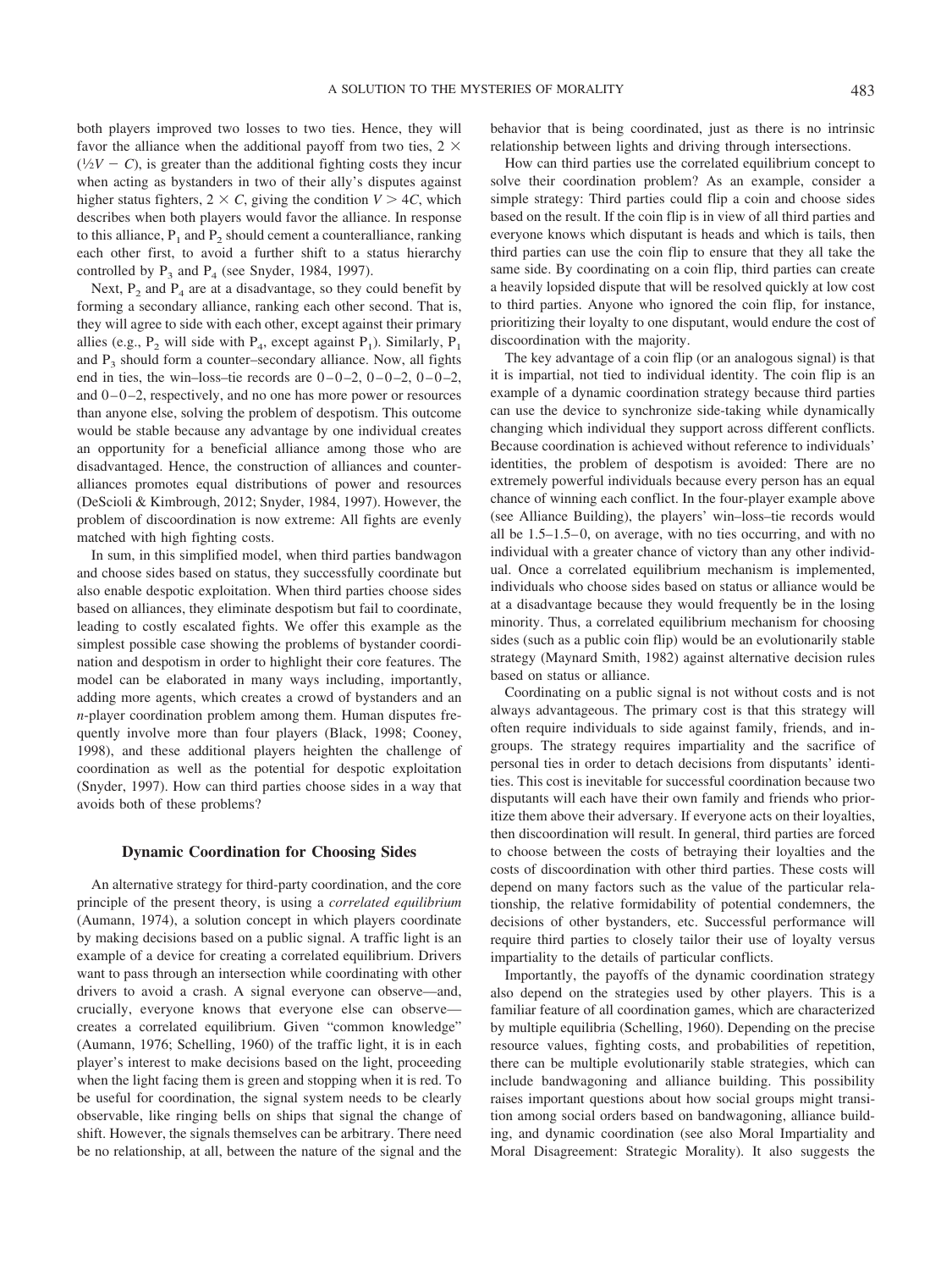both players improved two losses to two ties. Hence, they will favor the alliance when the additional payoff from two ties,  $2 \times$  $(1/2V - C)$ , is greater than the additional fighting costs they incur when acting as bystanders in two of their ally's disputes against higher status fighters,  $2 \times C$ , giving the condition  $V > 4C$ , which describes when both players would favor the alliance. In response to this alliance,  $P_1$  and  $P_2$  should cement a counteralliance, ranking each other first, to avoid a further shift to a status hierarchy controlled by  $P_3$  and  $P_4$  (see Snyder, 1984, 1997).

Next,  $P_2$  and  $P_4$  are at a disadvantage, so they could benefit by forming a secondary alliance, ranking each other second. That is, they will agree to side with each other, except against their primary allies (e.g.,  $P_2$  will side with  $P_4$ , except against  $P_1$ ). Similarly,  $P_1$ and  $P_3$  should form a counter–secondary alliance. Now, all fights end in ties, the win–loss–tie records are  $0-0-2$ ,  $0-0-2$ ,  $0-0-2$ , and 0–0–2, respectively, and no one has more power or resources than anyone else, solving the problem of despotism. This outcome would be stable because any advantage by one individual creates an opportunity for a beneficial alliance among those who are disadvantaged. Hence, the construction of alliances and counteralliances promotes equal distributions of power and resources (DeScioli & Kimbrough, 2012; Snyder, 1984, 1997). However, the problem of discoordination is now extreme: All fights are evenly matched with high fighting costs.

In sum, in this simplified model, when third parties bandwagon and choose sides based on status, they successfully coordinate but also enable despotic exploitation. When third parties choose sides based on alliances, they eliminate despotism but fail to coordinate, leading to costly escalated fights. We offer this example as the simplest possible case showing the problems of bystander coordination and despotism in order to highlight their core features. The model can be elaborated in many ways including, importantly, adding more agents, which creates a crowd of bystanders and an *n*-player coordination problem among them. Human disputes frequently involve more than four players (Black, 1998; Cooney, 1998), and these additional players heighten the challenge of coordination as well as the potential for despotic exploitation (Snyder, 1997). How can third parties choose sides in a way that avoids both of these problems?

#### **Dynamic Coordination for Choosing Sides**

An alternative strategy for third-party coordination, and the core principle of the present theory, is using a *correlated equilibrium* (Aumann, 1974), a solution concept in which players coordinate by making decisions based on a public signal. A traffic light is an example of a device for creating a correlated equilibrium. Drivers want to pass through an intersection while coordinating with other drivers to avoid a crash. A signal everyone can observe—and, crucially, everyone knows that everyone else can observe creates a correlated equilibrium. Given "common knowledge" (Aumann, 1976; Schelling, 1960) of the traffic light, it is in each player's interest to make decisions based on the light, proceeding when the light facing them is green and stopping when it is red. To be useful for coordination, the signal system needs to be clearly observable, like ringing bells on ships that signal the change of shift. However, the signals themselves can be arbitrary. There need be no relationship, at all, between the nature of the signal and the

behavior that is being coordinated, just as there is no intrinsic relationship between lights and driving through intersections.

How can third parties use the correlated equilibrium concept to solve their coordination problem? As an example, consider a simple strategy: Third parties could flip a coin and choose sides based on the result. If the coin flip is in view of all third parties and everyone knows which disputant is heads and which is tails, then third parties can use the coin flip to ensure that they all take the same side. By coordinating on a coin flip, third parties can create a heavily lopsided dispute that will be resolved quickly at low cost to third parties. Anyone who ignored the coin flip, for instance, prioritizing their loyalty to one disputant, would endure the cost of discoordination with the majority.

The key advantage of a coin flip (or an analogous signal) is that it is impartial, not tied to individual identity. The coin flip is an example of a dynamic coordination strategy because third parties can use the device to synchronize side-taking while dynamically changing which individual they support across different conflicts. Because coordination is achieved without reference to individuals' identities, the problem of despotism is avoided: There are no extremely powerful individuals because every person has an equal chance of winning each conflict. In the four-player example above (see Alliance Building), the players' win–loss–tie records would all be 1.5–1.5–0, on average, with no ties occurring, and with no individual with a greater chance of victory than any other individual. Once a correlated equilibrium mechanism is implemented, individuals who choose sides based on status or alliance would be at a disadvantage because they would frequently be in the losing minority. Thus, a correlated equilibrium mechanism for choosing sides (such as a public coin flip) would be an evolutionarily stable strategy (Maynard Smith, 1982) against alternative decision rules based on status or alliance.

Coordinating on a public signal is not without costs and is not always advantageous. The primary cost is that this strategy will often require individuals to side against family, friends, and ingroups. The strategy requires impartiality and the sacrifice of personal ties in order to detach decisions from disputants' identities. This cost is inevitable for successful coordination because two disputants will each have their own family and friends who prioritize them above their adversary. If everyone acts on their loyalties, then discoordination will result. In general, third parties are forced to choose between the costs of betraying their loyalties and the costs of discoordination with other third parties. These costs will depend on many factors such as the value of the particular relationship, the relative formidability of potential condemners, the decisions of other bystanders, etc. Successful performance will require third parties to closely tailor their use of loyalty versus impartiality to the details of particular conflicts.

Importantly, the payoffs of the dynamic coordination strategy also depend on the strategies used by other players. This is a familiar feature of all coordination games, which are characterized by multiple equilibria (Schelling, 1960). Depending on the precise resource values, fighting costs, and probabilities of repetition, there can be multiple evolutionarily stable strategies, which can include bandwagoning and alliance building. This possibility raises important questions about how social groups might transition among social orders based on bandwagoning, alliance building, and dynamic coordination (see also Moral Impartiality and Moral Disagreement: Strategic Morality). It also suggests the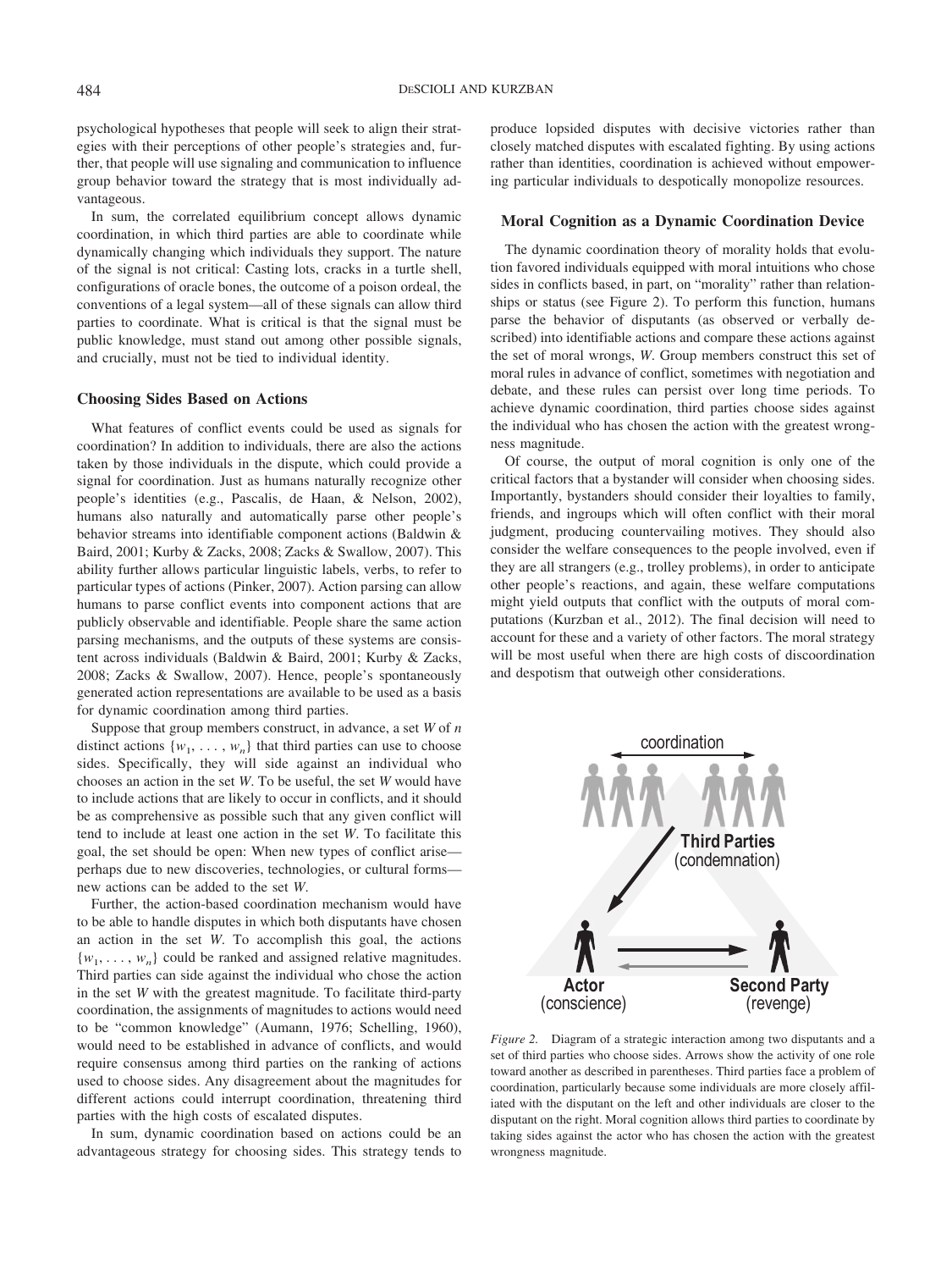psychological hypotheses that people will seek to align their strategies with their perceptions of other people's strategies and, further, that people will use signaling and communication to influence group behavior toward the strategy that is most individually advantageous.

In sum, the correlated equilibrium concept allows dynamic coordination, in which third parties are able to coordinate while dynamically changing which individuals they support. The nature of the signal is not critical: Casting lots, cracks in a turtle shell, configurations of oracle bones, the outcome of a poison ordeal, the conventions of a legal system—all of these signals can allow third parties to coordinate. What is critical is that the signal must be public knowledge, must stand out among other possible signals, and crucially, must not be tied to individual identity.

#### **Choosing Sides Based on Actions**

What features of conflict events could be used as signals for coordination? In addition to individuals, there are also the actions taken by those individuals in the dispute, which could provide a signal for coordination. Just as humans naturally recognize other people's identities (e.g., Pascalis, de Haan, & Nelson, 2002), humans also naturally and automatically parse other people's behavior streams into identifiable component actions (Baldwin & Baird, 2001; Kurby & Zacks, 2008; Zacks & Swallow, 2007). This ability further allows particular linguistic labels, verbs, to refer to particular types of actions (Pinker, 2007). Action parsing can allow humans to parse conflict events into component actions that are publicly observable and identifiable. People share the same action parsing mechanisms, and the outputs of these systems are consistent across individuals (Baldwin & Baird, 2001; Kurby & Zacks, 2008; Zacks & Swallow, 2007). Hence, people's spontaneously generated action representations are available to be used as a basis for dynamic coordination among third parties.

Suppose that group members construct, in advance, a set *W* of *n* distinct actions  $\{w_1, \ldots, w_n\}$  that third parties can use to choose sides. Specifically, they will side against an individual who chooses an action in the set *W*. To be useful, the set *W* would have to include actions that are likely to occur in conflicts, and it should be as comprehensive as possible such that any given conflict will tend to include at least one action in the set *W*. To facilitate this goal, the set should be open: When new types of conflict arise perhaps due to new discoveries, technologies, or cultural forms new actions can be added to the set *W*.

Further, the action-based coordination mechanism would have to be able to handle disputes in which both disputants have chosen an action in the set *W*. To accomplish this goal, the actions  $\{w_1, \ldots, w_n\}$  could be ranked and assigned relative magnitudes. Third parties can side against the individual who chose the action in the set *W* with the greatest magnitude. To facilitate third-party coordination, the assignments of magnitudes to actions would need to be "common knowledge" (Aumann, 1976; Schelling, 1960), would need to be established in advance of conflicts, and would require consensus among third parties on the ranking of actions used to choose sides. Any disagreement about the magnitudes for different actions could interrupt coordination, threatening third parties with the high costs of escalated disputes.

In sum, dynamic coordination based on actions could be an advantageous strategy for choosing sides. This strategy tends to produce lopsided disputes with decisive victories rather than closely matched disputes with escalated fighting. By using actions rather than identities, coordination is achieved without empowering particular individuals to despotically monopolize resources.

## **Moral Cognition as a Dynamic Coordination Device**

The dynamic coordination theory of morality holds that evolution favored individuals equipped with moral intuitions who chose sides in conflicts based, in part, on "morality" rather than relationships or status (see Figure 2). To perform this function, humans parse the behavior of disputants (as observed or verbally described) into identifiable actions and compare these actions against the set of moral wrongs, *W*. Group members construct this set of moral rules in advance of conflict, sometimes with negotiation and debate, and these rules can persist over long time periods. To achieve dynamic coordination, third parties choose sides against the individual who has chosen the action with the greatest wrongness magnitude.

Of course, the output of moral cognition is only one of the critical factors that a bystander will consider when choosing sides. Importantly, bystanders should consider their loyalties to family, friends, and ingroups which will often conflict with their moral judgment, producing countervailing motives. They should also consider the welfare consequences to the people involved, even if they are all strangers (e.g., trolley problems), in order to anticipate other people's reactions, and again, these welfare computations might yield outputs that conflict with the outputs of moral computations (Kurzban et al., 2012). The final decision will need to account for these and a variety of other factors. The moral strategy will be most useful when there are high costs of discoordination and despotism that outweigh other considerations.



*Figure 2.* Diagram of a strategic interaction among two disputants and a set of third parties who choose sides. Arrows show the activity of one role toward another as described in parentheses. Third parties face a problem of coordination, particularly because some individuals are more closely affiliated with the disputant on the left and other individuals are closer to the disputant on the right. Moral cognition allows third parties to coordinate by taking sides against the actor who has chosen the action with the greatest wrongness magnitude.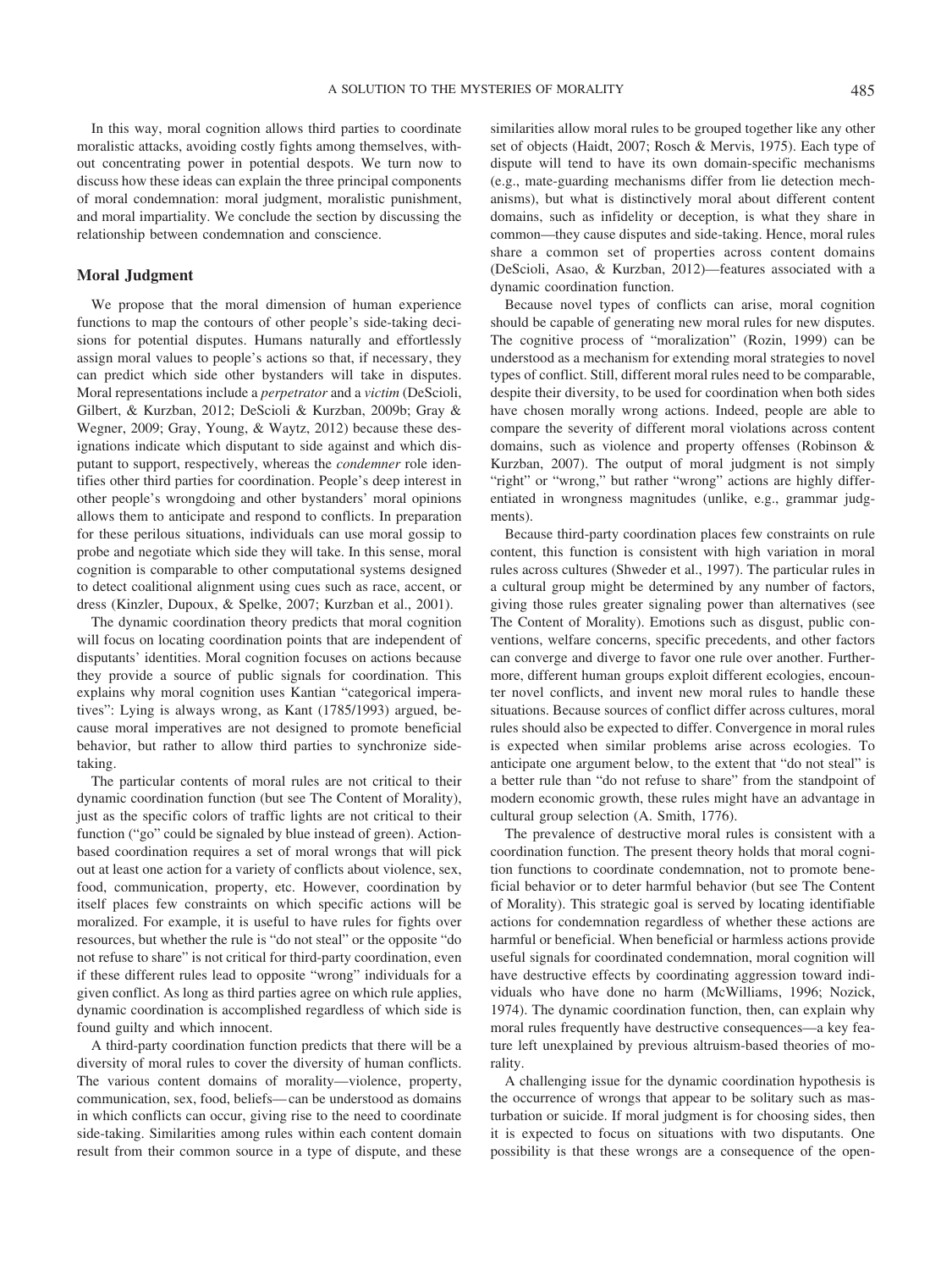In this way, moral cognition allows third parties to coordinate moralistic attacks, avoiding costly fights among themselves, without concentrating power in potential despots. We turn now to discuss how these ideas can explain the three principal components of moral condemnation: moral judgment, moralistic punishment, and moral impartiality. We conclude the section by discussing the relationship between condemnation and conscience.

## **Moral Judgment**

We propose that the moral dimension of human experience functions to map the contours of other people's side-taking decisions for potential disputes. Humans naturally and effortlessly assign moral values to people's actions so that, if necessary, they can predict which side other bystanders will take in disputes. Moral representations include a *perpetrator* and a *victim* (DeScioli, Gilbert, & Kurzban, 2012; DeScioli & Kurzban, 2009b; Gray & Wegner, 2009; Gray, Young, & Waytz, 2012) because these designations indicate which disputant to side against and which disputant to support, respectively, whereas the *condemner* role identifies other third parties for coordination. People's deep interest in other people's wrongdoing and other bystanders' moral opinions allows them to anticipate and respond to conflicts. In preparation for these perilous situations, individuals can use moral gossip to probe and negotiate which side they will take. In this sense, moral cognition is comparable to other computational systems designed to detect coalitional alignment using cues such as race, accent, or dress (Kinzler, Dupoux, & Spelke, 2007; Kurzban et al., 2001).

The dynamic coordination theory predicts that moral cognition will focus on locating coordination points that are independent of disputants' identities. Moral cognition focuses on actions because they provide a source of public signals for coordination. This explains why moral cognition uses Kantian "categorical imperatives": Lying is always wrong, as Kant (1785/1993) argued, because moral imperatives are not designed to promote beneficial behavior, but rather to allow third parties to synchronize sidetaking.

The particular contents of moral rules are not critical to their dynamic coordination function (but see The Content of Morality), just as the specific colors of traffic lights are not critical to their function ("go" could be signaled by blue instead of green). Actionbased coordination requires a set of moral wrongs that will pick out at least one action for a variety of conflicts about violence, sex, food, communication, property, etc. However, coordination by itself places few constraints on which specific actions will be moralized. For example, it is useful to have rules for fights over resources, but whether the rule is "do not steal" or the opposite "do not refuse to share" is not critical for third-party coordination, even if these different rules lead to opposite "wrong" individuals for a given conflict. As long as third parties agree on which rule applies, dynamic coordination is accomplished regardless of which side is found guilty and which innocent.

A third-party coordination function predicts that there will be a diversity of moral rules to cover the diversity of human conflicts. The various content domains of morality—violence, property, communication, sex, food, beliefs—can be understood as domains in which conflicts can occur, giving rise to the need to coordinate side-taking. Similarities among rules within each content domain result from their common source in a type of dispute, and these

similarities allow moral rules to be grouped together like any other set of objects (Haidt, 2007; Rosch & Mervis, 1975). Each type of dispute will tend to have its own domain-specific mechanisms (e.g., mate-guarding mechanisms differ from lie detection mechanisms), but what is distinctively moral about different content domains, such as infidelity or deception, is what they share in common—they cause disputes and side-taking. Hence, moral rules share a common set of properties across content domains (DeScioli, Asao, & Kurzban, 2012)—features associated with a dynamic coordination function.

Because novel types of conflicts can arise, moral cognition should be capable of generating new moral rules for new disputes. The cognitive process of "moralization" (Rozin, 1999) can be understood as a mechanism for extending moral strategies to novel types of conflict. Still, different moral rules need to be comparable, despite their diversity, to be used for coordination when both sides have chosen morally wrong actions. Indeed, people are able to compare the severity of different moral violations across content domains, such as violence and property offenses (Robinson & Kurzban, 2007). The output of moral judgment is not simply "right" or "wrong," but rather "wrong" actions are highly differentiated in wrongness magnitudes (unlike, e.g., grammar judgments).

Because third-party coordination places few constraints on rule content, this function is consistent with high variation in moral rules across cultures (Shweder et al., 1997). The particular rules in a cultural group might be determined by any number of factors, giving those rules greater signaling power than alternatives (see The Content of Morality). Emotions such as disgust, public conventions, welfare concerns, specific precedents, and other factors can converge and diverge to favor one rule over another. Furthermore, different human groups exploit different ecologies, encounter novel conflicts, and invent new moral rules to handle these situations. Because sources of conflict differ across cultures, moral rules should also be expected to differ. Convergence in moral rules is expected when similar problems arise across ecologies. To anticipate one argument below, to the extent that "do not steal" is a better rule than "do not refuse to share" from the standpoint of modern economic growth, these rules might have an advantage in cultural group selection (A. Smith, 1776).

The prevalence of destructive moral rules is consistent with a coordination function. The present theory holds that moral cognition functions to coordinate condemnation, not to promote beneficial behavior or to deter harmful behavior (but see The Content of Morality). This strategic goal is served by locating identifiable actions for condemnation regardless of whether these actions are harmful or beneficial. When beneficial or harmless actions provide useful signals for coordinated condemnation, moral cognition will have destructive effects by coordinating aggression toward individuals who have done no harm (McWilliams, 1996; Nozick, 1974). The dynamic coordination function, then, can explain why moral rules frequently have destructive consequences—a key feature left unexplained by previous altruism-based theories of morality.

A challenging issue for the dynamic coordination hypothesis is the occurrence of wrongs that appear to be solitary such as masturbation or suicide. If moral judgment is for choosing sides, then it is expected to focus on situations with two disputants. One possibility is that these wrongs are a consequence of the open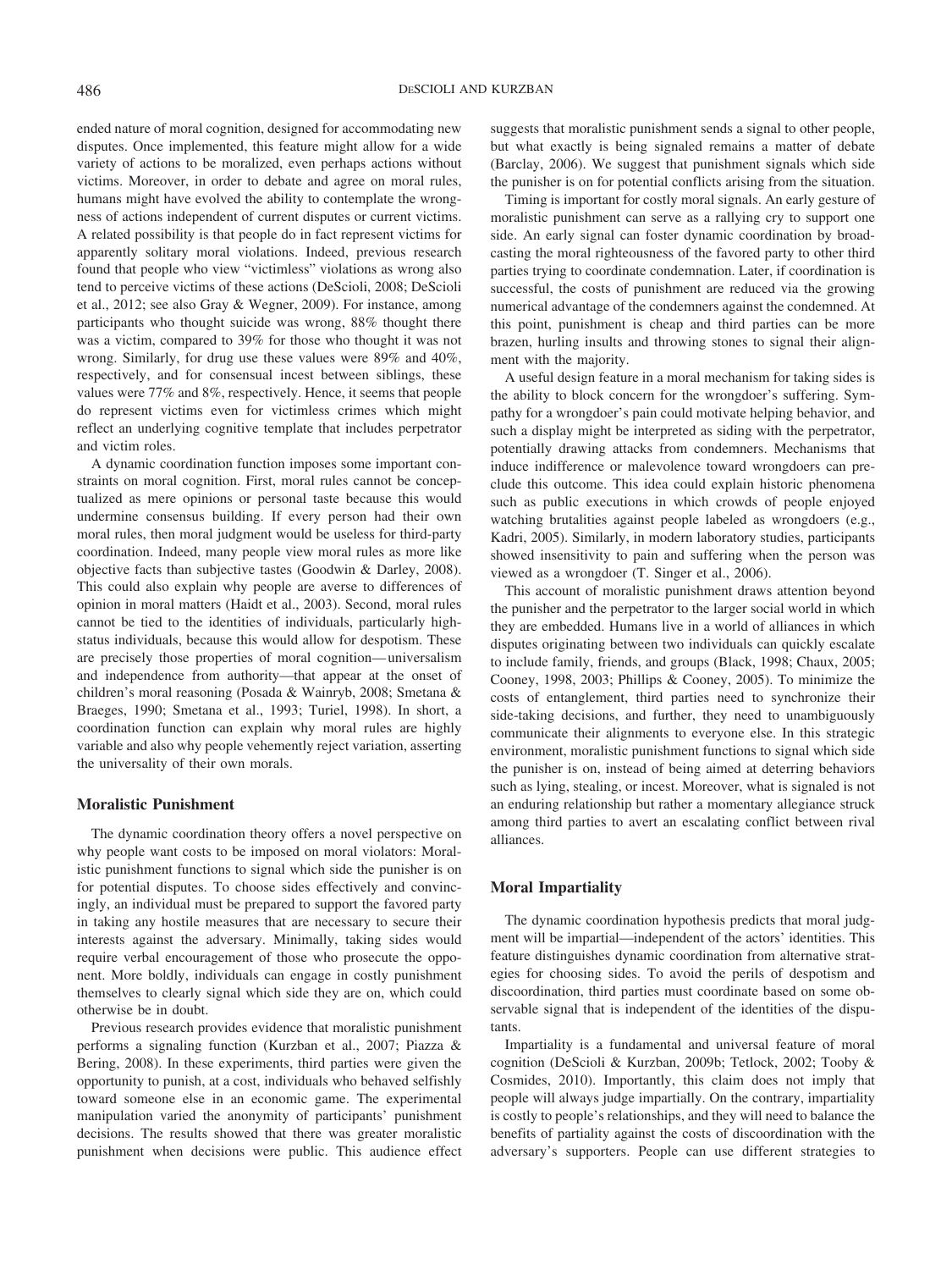ended nature of moral cognition, designed for accommodating new disputes. Once implemented, this feature might allow for a wide variety of actions to be moralized, even perhaps actions without victims. Moreover, in order to debate and agree on moral rules, humans might have evolved the ability to contemplate the wrongness of actions independent of current disputes or current victims. A related possibility is that people do in fact represent victims for apparently solitary moral violations. Indeed, previous research found that people who view "victimless" violations as wrong also tend to perceive victims of these actions (DeScioli, 2008; DeScioli et al., 2012; see also Gray & Wegner, 2009). For instance, among participants who thought suicide was wrong, 88% thought there was a victim, compared to 39% for those who thought it was not wrong. Similarly, for drug use these values were 89% and 40%, respectively, and for consensual incest between siblings, these values were 77% and 8%, respectively. Hence, it seems that people do represent victims even for victimless crimes which might reflect an underlying cognitive template that includes perpetrator and victim roles.

A dynamic coordination function imposes some important constraints on moral cognition. First, moral rules cannot be conceptualized as mere opinions or personal taste because this would undermine consensus building. If every person had their own moral rules, then moral judgment would be useless for third-party coordination. Indeed, many people view moral rules as more like objective facts than subjective tastes (Goodwin & Darley, 2008). This could also explain why people are averse to differences of opinion in moral matters (Haidt et al., 2003). Second, moral rules cannot be tied to the identities of individuals, particularly highstatus individuals, because this would allow for despotism. These are precisely those properties of moral cognition—universalism and independence from authority—that appear at the onset of children's moral reasoning (Posada & Wainryb, 2008; Smetana & Braeges, 1990; Smetana et al., 1993; Turiel, 1998). In short, a coordination function can explain why moral rules are highly variable and also why people vehemently reject variation, asserting the universality of their own morals.

#### **Moralistic Punishment**

The dynamic coordination theory offers a novel perspective on why people want costs to be imposed on moral violators: Moralistic punishment functions to signal which side the punisher is on for potential disputes. To choose sides effectively and convincingly, an individual must be prepared to support the favored party in taking any hostile measures that are necessary to secure their interests against the adversary. Minimally, taking sides would require verbal encouragement of those who prosecute the opponent. More boldly, individuals can engage in costly punishment themselves to clearly signal which side they are on, which could otherwise be in doubt.

Previous research provides evidence that moralistic punishment performs a signaling function (Kurzban et al., 2007; Piazza & Bering, 2008). In these experiments, third parties were given the opportunity to punish, at a cost, individuals who behaved selfishly toward someone else in an economic game. The experimental manipulation varied the anonymity of participants' punishment decisions. The results showed that there was greater moralistic punishment when decisions were public. This audience effect suggests that moralistic punishment sends a signal to other people, but what exactly is being signaled remains a matter of debate (Barclay, 2006). We suggest that punishment signals which side the punisher is on for potential conflicts arising from the situation.

Timing is important for costly moral signals. An early gesture of moralistic punishment can serve as a rallying cry to support one side. An early signal can foster dynamic coordination by broadcasting the moral righteousness of the favored party to other third parties trying to coordinate condemnation. Later, if coordination is successful, the costs of punishment are reduced via the growing numerical advantage of the condemners against the condemned. At this point, punishment is cheap and third parties can be more brazen, hurling insults and throwing stones to signal their alignment with the majority.

A useful design feature in a moral mechanism for taking sides is the ability to block concern for the wrongdoer's suffering. Sympathy for a wrongdoer's pain could motivate helping behavior, and such a display might be interpreted as siding with the perpetrator, potentially drawing attacks from condemners. Mechanisms that induce indifference or malevolence toward wrongdoers can preclude this outcome. This idea could explain historic phenomena such as public executions in which crowds of people enjoyed watching brutalities against people labeled as wrongdoers (e.g., Kadri, 2005). Similarly, in modern laboratory studies, participants showed insensitivity to pain and suffering when the person was viewed as a wrongdoer (T. Singer et al., 2006).

This account of moralistic punishment draws attention beyond the punisher and the perpetrator to the larger social world in which they are embedded. Humans live in a world of alliances in which disputes originating between two individuals can quickly escalate to include family, friends, and groups (Black, 1998; Chaux, 2005; Cooney, 1998, 2003; Phillips & Cooney, 2005). To minimize the costs of entanglement, third parties need to synchronize their side-taking decisions, and further, they need to unambiguously communicate their alignments to everyone else. In this strategic environment, moralistic punishment functions to signal which side the punisher is on, instead of being aimed at deterring behaviors such as lying, stealing, or incest. Moreover, what is signaled is not an enduring relationship but rather a momentary allegiance struck among third parties to avert an escalating conflict between rival alliances.

#### **Moral Impartiality**

The dynamic coordination hypothesis predicts that moral judgment will be impartial—independent of the actors' identities. This feature distinguishes dynamic coordination from alternative strategies for choosing sides. To avoid the perils of despotism and discoordination, third parties must coordinate based on some observable signal that is independent of the identities of the disputants.

Impartiality is a fundamental and universal feature of moral cognition (DeScioli & Kurzban, 2009b; Tetlock, 2002; Tooby & Cosmides, 2010). Importantly, this claim does not imply that people will always judge impartially. On the contrary, impartiality is costly to people's relationships, and they will need to balance the benefits of partiality against the costs of discoordination with the adversary's supporters. People can use different strategies to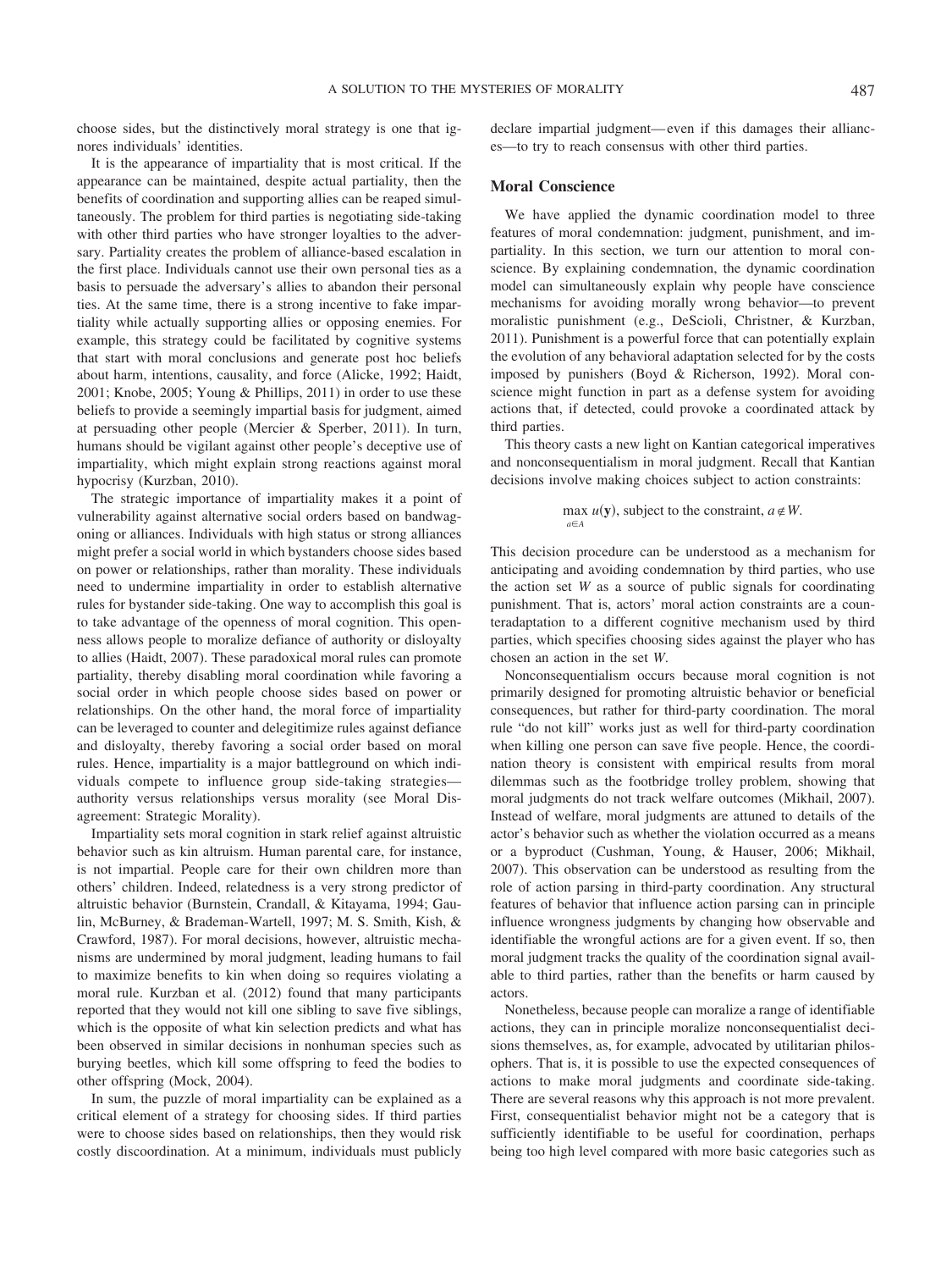choose sides, but the distinctively moral strategy is one that ignores individuals' identities.

It is the appearance of impartiality that is most critical. If the appearance can be maintained, despite actual partiality, then the benefits of coordination and supporting allies can be reaped simultaneously. The problem for third parties is negotiating side-taking with other third parties who have stronger loyalties to the adversary. Partiality creates the problem of alliance-based escalation in the first place. Individuals cannot use their own personal ties as a basis to persuade the adversary's allies to abandon their personal ties. At the same time, there is a strong incentive to fake impartiality while actually supporting allies or opposing enemies. For example, this strategy could be facilitated by cognitive systems that start with moral conclusions and generate post hoc beliefs about harm, intentions, causality, and force (Alicke, 1992; Haidt, 2001; Knobe, 2005; Young & Phillips, 2011) in order to use these beliefs to provide a seemingly impartial basis for judgment, aimed at persuading other people (Mercier & Sperber, 2011). In turn, humans should be vigilant against other people's deceptive use of impartiality, which might explain strong reactions against moral hypocrisy (Kurzban, 2010).

The strategic importance of impartiality makes it a point of vulnerability against alternative social orders based on bandwagoning or alliances. Individuals with high status or strong alliances might prefer a social world in which bystanders choose sides based on power or relationships, rather than morality. These individuals need to undermine impartiality in order to establish alternative rules for bystander side-taking. One way to accomplish this goal is to take advantage of the openness of moral cognition. This openness allows people to moralize defiance of authority or disloyalty to allies (Haidt, 2007). These paradoxical moral rules can promote partiality, thereby disabling moral coordination while favoring a social order in which people choose sides based on power or relationships. On the other hand, the moral force of impartiality can be leveraged to counter and delegitimize rules against defiance and disloyalty, thereby favoring a social order based on moral rules. Hence, impartiality is a major battleground on which individuals compete to influence group side-taking strategies authority versus relationships versus morality (see Moral Disagreement: Strategic Morality).

Impartiality sets moral cognition in stark relief against altruistic behavior such as kin altruism. Human parental care, for instance, is not impartial. People care for their own children more than others' children. Indeed, relatedness is a very strong predictor of altruistic behavior (Burnstein, Crandall, & Kitayama, 1994; Gaulin, McBurney, & Brademan-Wartell, 1997; M. S. Smith, Kish, & Crawford, 1987). For moral decisions, however, altruistic mechanisms are undermined by moral judgment, leading humans to fail to maximize benefits to kin when doing so requires violating a moral rule. Kurzban et al. (2012) found that many participants reported that they would not kill one sibling to save five siblings, which is the opposite of what kin selection predicts and what has been observed in similar decisions in nonhuman species such as burying beetles, which kill some offspring to feed the bodies to other offspring (Mock, 2004).

In sum, the puzzle of moral impartiality can be explained as a critical element of a strategy for choosing sides. If third parties were to choose sides based on relationships, then they would risk costly discoordination. At a minimum, individuals must publicly

declare impartial judgment—even if this damages their alliances—to try to reach consensus with other third parties.

## **Moral Conscience**

We have applied the dynamic coordination model to three features of moral condemnation: judgment, punishment, and impartiality. In this section, we turn our attention to moral conscience. By explaining condemnation, the dynamic coordination model can simultaneously explain why people have conscience mechanisms for avoiding morally wrong behavior—to prevent moralistic punishment (e.g., DeScioli, Christner, & Kurzban, 2011). Punishment is a powerful force that can potentially explain the evolution of any behavioral adaptation selected for by the costs imposed by punishers (Boyd & Richerson, 1992). Moral conscience might function in part as a defense system for avoiding actions that, if detected, could provoke a coordinated attack by third parties.

This theory casts a new light on Kantian categorical imperatives and nonconsequentialism in moral judgment. Recall that Kantian decisions involve making choices subject to action constraints:

max 
$$
u
$$
(**y**), subject to the constraint,  $a \notin W$ .

This decision procedure can be understood as a mechanism for anticipating and avoiding condemnation by third parties, who use the action set *W* as a source of public signals for coordinating punishment. That is, actors' moral action constraints are a counteradaptation to a different cognitive mechanism used by third parties, which specifies choosing sides against the player who has chosen an action in the set *W*.

Nonconsequentialism occurs because moral cognition is not primarily designed for promoting altruistic behavior or beneficial consequences, but rather for third-party coordination. The moral rule "do not kill" works just as well for third-party coordination when killing one person can save five people. Hence, the coordination theory is consistent with empirical results from moral dilemmas such as the footbridge trolley problem, showing that moral judgments do not track welfare outcomes (Mikhail, 2007). Instead of welfare, moral judgments are attuned to details of the actor's behavior such as whether the violation occurred as a means or a byproduct (Cushman, Young, & Hauser, 2006; Mikhail, 2007). This observation can be understood as resulting from the role of action parsing in third-party coordination. Any structural features of behavior that influence action parsing can in principle influence wrongness judgments by changing how observable and identifiable the wrongful actions are for a given event. If so, then moral judgment tracks the quality of the coordination signal available to third parties, rather than the benefits or harm caused by actors.

Nonetheless, because people can moralize a range of identifiable actions, they can in principle moralize nonconsequentialist decisions themselves, as, for example, advocated by utilitarian philosophers. That is, it is possible to use the expected consequences of actions to make moral judgments and coordinate side-taking. There are several reasons why this approach is not more prevalent. First, consequentialist behavior might not be a category that is sufficiently identifiable to be useful for coordination, perhaps being too high level compared with more basic categories such as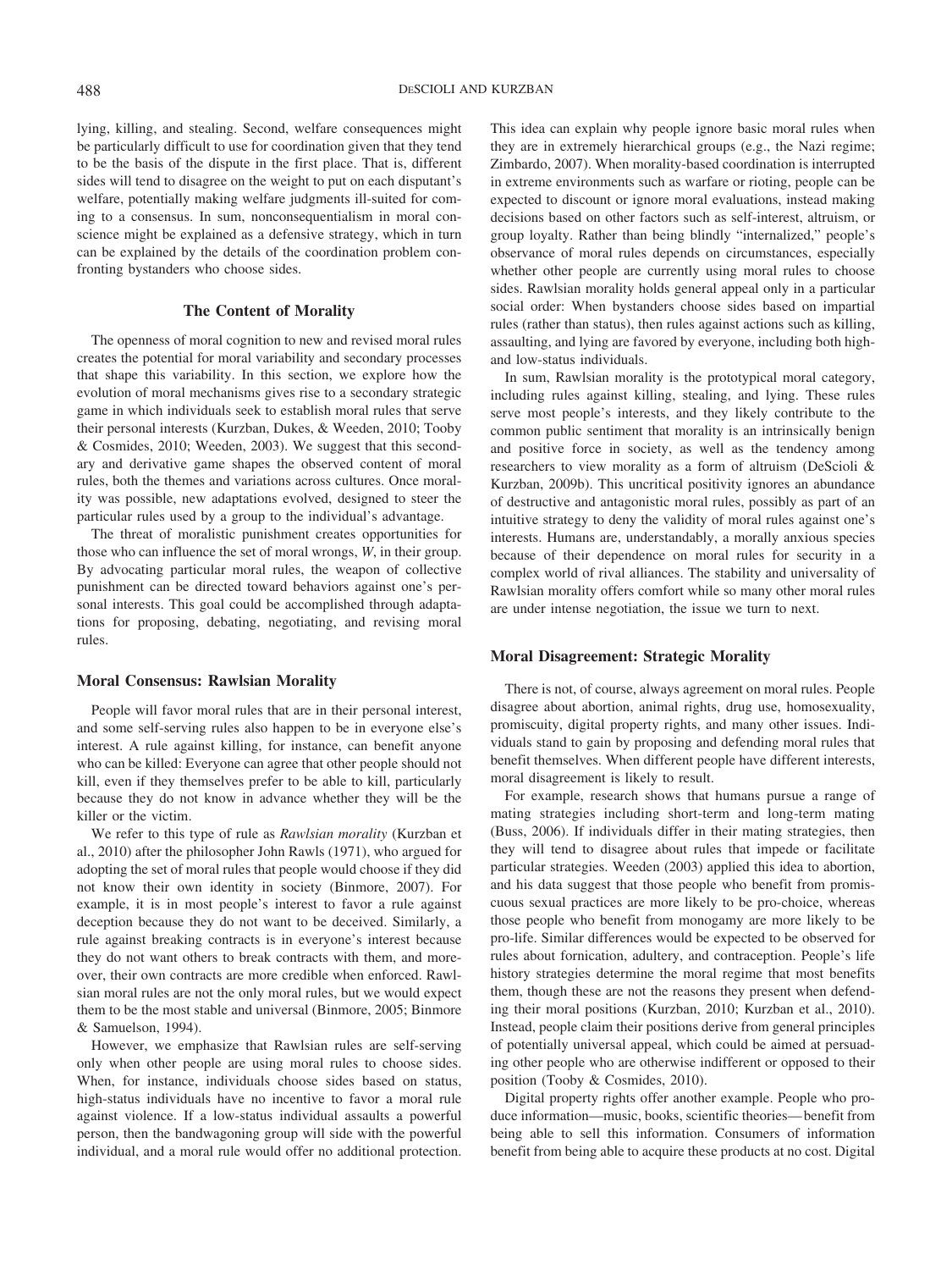lying, killing, and stealing. Second, welfare consequences might be particularly difficult to use for coordination given that they tend to be the basis of the dispute in the first place. That is, different sides will tend to disagree on the weight to put on each disputant's welfare, potentially making welfare judgments ill-suited for coming to a consensus. In sum, nonconsequentialism in moral conscience might be explained as a defensive strategy, which in turn can be explained by the details of the coordination problem confronting bystanders who choose sides.

#### **The Content of Morality**

The openness of moral cognition to new and revised moral rules creates the potential for moral variability and secondary processes that shape this variability. In this section, we explore how the evolution of moral mechanisms gives rise to a secondary strategic game in which individuals seek to establish moral rules that serve their personal interests (Kurzban, Dukes, & Weeden, 2010; Tooby & Cosmides, 2010; Weeden, 2003). We suggest that this secondary and derivative game shapes the observed content of moral rules, both the themes and variations across cultures. Once morality was possible, new adaptations evolved, designed to steer the particular rules used by a group to the individual's advantage.

The threat of moralistic punishment creates opportunities for those who can influence the set of moral wrongs, *W*, in their group. By advocating particular moral rules, the weapon of collective punishment can be directed toward behaviors against one's personal interests. This goal could be accomplished through adaptations for proposing, debating, negotiating, and revising moral rules.

#### **Moral Consensus: Rawlsian Morality**

People will favor moral rules that are in their personal interest, and some self-serving rules also happen to be in everyone else's interest. A rule against killing, for instance, can benefit anyone who can be killed: Everyone can agree that other people should not kill, even if they themselves prefer to be able to kill, particularly because they do not know in advance whether they will be the killer or the victim.

We refer to this type of rule as *Rawlsian morality* (Kurzban et al., 2010) after the philosopher John Rawls (1971), who argued for adopting the set of moral rules that people would choose if they did not know their own identity in society (Binmore, 2007). For example, it is in most people's interest to favor a rule against deception because they do not want to be deceived. Similarly, a rule against breaking contracts is in everyone's interest because they do not want others to break contracts with them, and moreover, their own contracts are more credible when enforced. Rawlsian moral rules are not the only moral rules, but we would expect them to be the most stable and universal (Binmore, 2005; Binmore & Samuelson, 1994).

However, we emphasize that Rawlsian rules are self-serving only when other people are using moral rules to choose sides. When, for instance, individuals choose sides based on status, high-status individuals have no incentive to favor a moral rule against violence. If a low-status individual assaults a powerful person, then the bandwagoning group will side with the powerful individual, and a moral rule would offer no additional protection. This idea can explain why people ignore basic moral rules when they are in extremely hierarchical groups (e.g., the Nazi regime; Zimbardo, 2007). When morality-based coordination is interrupted in extreme environments such as warfare or rioting, people can be expected to discount or ignore moral evaluations, instead making decisions based on other factors such as self-interest, altruism, or group loyalty. Rather than being blindly "internalized," people's observance of moral rules depends on circumstances, especially whether other people are currently using moral rules to choose sides. Rawlsian morality holds general appeal only in a particular social order: When bystanders choose sides based on impartial rules (rather than status), then rules against actions such as killing, assaulting, and lying are favored by everyone, including both highand low-status individuals.

In sum, Rawlsian morality is the prototypical moral category, including rules against killing, stealing, and lying. These rules serve most people's interests, and they likely contribute to the common public sentiment that morality is an intrinsically benign and positive force in society, as well as the tendency among researchers to view morality as a form of altruism (DeScioli & Kurzban, 2009b). This uncritical positivity ignores an abundance of destructive and antagonistic moral rules, possibly as part of an intuitive strategy to deny the validity of moral rules against one's interests. Humans are, understandably, a morally anxious species because of their dependence on moral rules for security in a complex world of rival alliances. The stability and universality of Rawlsian morality offers comfort while so many other moral rules are under intense negotiation, the issue we turn to next.

#### **Moral Disagreement: Strategic Morality**

There is not, of course, always agreement on moral rules. People disagree about abortion, animal rights, drug use, homosexuality, promiscuity, digital property rights, and many other issues. Individuals stand to gain by proposing and defending moral rules that benefit themselves. When different people have different interests, moral disagreement is likely to result.

For example, research shows that humans pursue a range of mating strategies including short-term and long-term mating (Buss, 2006). If individuals differ in their mating strategies, then they will tend to disagree about rules that impede or facilitate particular strategies. Weeden (2003) applied this idea to abortion, and his data suggest that those people who benefit from promiscuous sexual practices are more likely to be pro-choice, whereas those people who benefit from monogamy are more likely to be pro-life. Similar differences would be expected to be observed for rules about fornication, adultery, and contraception. People's life history strategies determine the moral regime that most benefits them, though these are not the reasons they present when defending their moral positions (Kurzban, 2010; Kurzban et al., 2010). Instead, people claim their positions derive from general principles of potentially universal appeal, which could be aimed at persuading other people who are otherwise indifferent or opposed to their position (Tooby & Cosmides, 2010).

Digital property rights offer another example. People who produce information—music, books, scientific theories—benefit from being able to sell this information. Consumers of information benefit from being able to acquire these products at no cost. Digital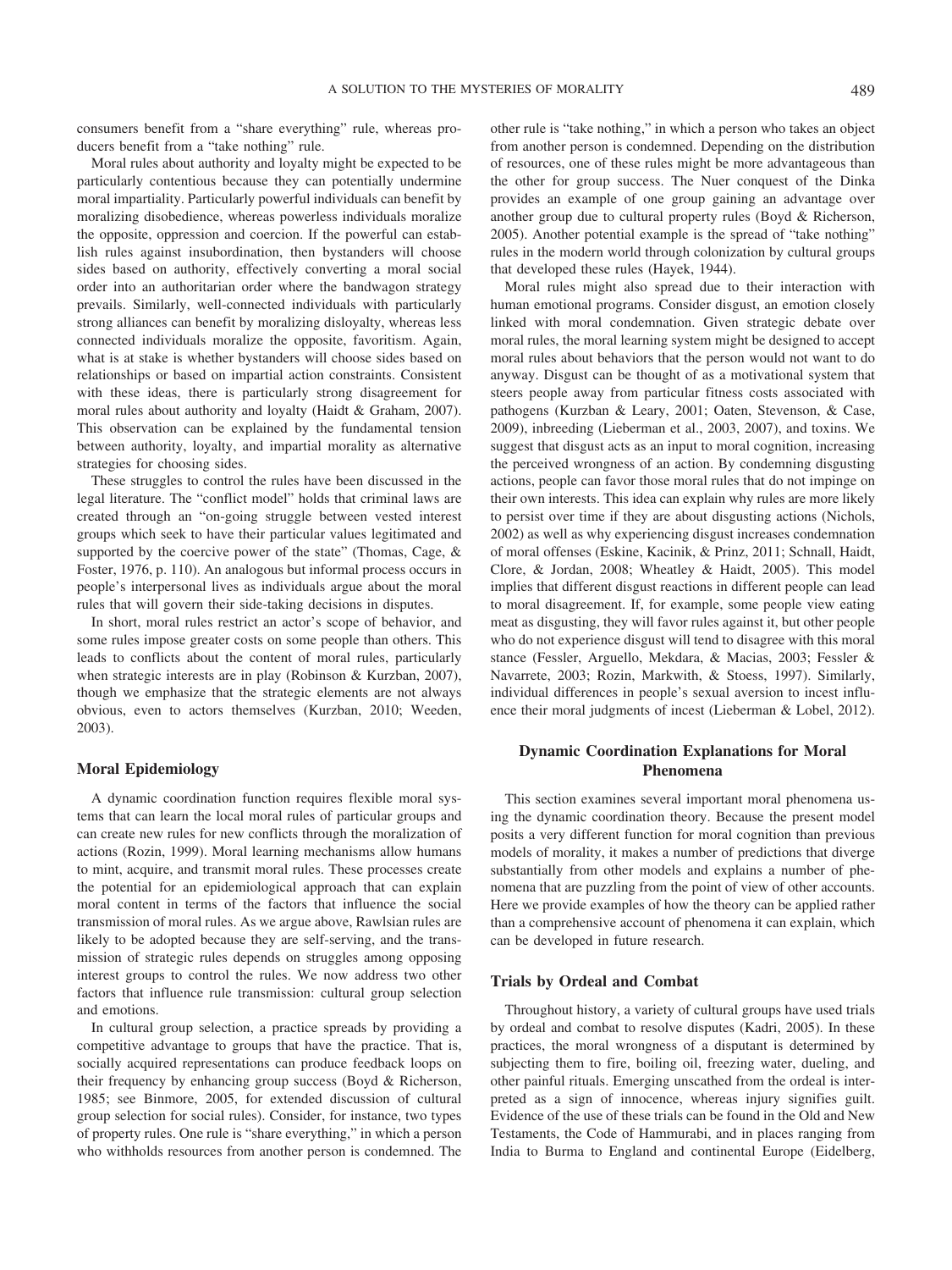consumers benefit from a "share everything" rule, whereas producers benefit from a "take nothing" rule.

Moral rules about authority and loyalty might be expected to be particularly contentious because they can potentially undermine moral impartiality. Particularly powerful individuals can benefit by moralizing disobedience, whereas powerless individuals moralize the opposite, oppression and coercion. If the powerful can establish rules against insubordination, then bystanders will choose sides based on authority, effectively converting a moral social order into an authoritarian order where the bandwagon strategy prevails. Similarly, well-connected individuals with particularly strong alliances can benefit by moralizing disloyalty, whereas less connected individuals moralize the opposite, favoritism. Again, what is at stake is whether bystanders will choose sides based on relationships or based on impartial action constraints. Consistent with these ideas, there is particularly strong disagreement for moral rules about authority and loyalty (Haidt & Graham, 2007). This observation can be explained by the fundamental tension between authority, loyalty, and impartial morality as alternative strategies for choosing sides.

These struggles to control the rules have been discussed in the legal literature. The "conflict model" holds that criminal laws are created through an "on-going struggle between vested interest groups which seek to have their particular values legitimated and supported by the coercive power of the state" (Thomas, Cage, & Foster, 1976, p. 110). An analogous but informal process occurs in people's interpersonal lives as individuals argue about the moral rules that will govern their side-taking decisions in disputes.

In short, moral rules restrict an actor's scope of behavior, and some rules impose greater costs on some people than others. This leads to conflicts about the content of moral rules, particularly when strategic interests are in play (Robinson & Kurzban, 2007), though we emphasize that the strategic elements are not always obvious, even to actors themselves (Kurzban, 2010; Weeden, 2003).

#### **Moral Epidemiology**

A dynamic coordination function requires flexible moral systems that can learn the local moral rules of particular groups and can create new rules for new conflicts through the moralization of actions (Rozin, 1999). Moral learning mechanisms allow humans to mint, acquire, and transmit moral rules. These processes create the potential for an epidemiological approach that can explain moral content in terms of the factors that influence the social transmission of moral rules. As we argue above, Rawlsian rules are likely to be adopted because they are self-serving, and the transmission of strategic rules depends on struggles among opposing interest groups to control the rules. We now address two other factors that influence rule transmission: cultural group selection and emotions.

In cultural group selection, a practice spreads by providing a competitive advantage to groups that have the practice. That is, socially acquired representations can produce feedback loops on their frequency by enhancing group success (Boyd & Richerson, 1985; see Binmore, 2005, for extended discussion of cultural group selection for social rules). Consider, for instance, two types of property rules. One rule is "share everything," in which a person who withholds resources from another person is condemned. The

other rule is "take nothing," in which a person who takes an object from another person is condemned. Depending on the distribution of resources, one of these rules might be more advantageous than the other for group success. The Nuer conquest of the Dinka provides an example of one group gaining an advantage over another group due to cultural property rules (Boyd & Richerson, 2005). Another potential example is the spread of "take nothing" rules in the modern world through colonization by cultural groups that developed these rules (Hayek, 1944).

Moral rules might also spread due to their interaction with human emotional programs. Consider disgust, an emotion closely linked with moral condemnation. Given strategic debate over moral rules, the moral learning system might be designed to accept moral rules about behaviors that the person would not want to do anyway. Disgust can be thought of as a motivational system that steers people away from particular fitness costs associated with pathogens (Kurzban & Leary, 2001; Oaten, Stevenson, & Case, 2009), inbreeding (Lieberman et al., 2003, 2007), and toxins. We suggest that disgust acts as an input to moral cognition, increasing the perceived wrongness of an action. By condemning disgusting actions, people can favor those moral rules that do not impinge on their own interests. This idea can explain why rules are more likely to persist over time if they are about disgusting actions (Nichols, 2002) as well as why experiencing disgust increases condemnation of moral offenses (Eskine, Kacinik, & Prinz, 2011; Schnall, Haidt, Clore, & Jordan, 2008; Wheatley & Haidt, 2005). This model implies that different disgust reactions in different people can lead to moral disagreement. If, for example, some people view eating meat as disgusting, they will favor rules against it, but other people who do not experience disgust will tend to disagree with this moral stance (Fessler, Arguello, Mekdara, & Macias, 2003; Fessler & Navarrete, 2003; Rozin, Markwith, & Stoess, 1997). Similarly, individual differences in people's sexual aversion to incest influence their moral judgments of incest (Lieberman & Lobel, 2012).

## **Dynamic Coordination Explanations for Moral Phenomena**

This section examines several important moral phenomena using the dynamic coordination theory. Because the present model posits a very different function for moral cognition than previous models of morality, it makes a number of predictions that diverge substantially from other models and explains a number of phenomena that are puzzling from the point of view of other accounts. Here we provide examples of how the theory can be applied rather than a comprehensive account of phenomena it can explain, which can be developed in future research.

#### **Trials by Ordeal and Combat**

Throughout history, a variety of cultural groups have used trials by ordeal and combat to resolve disputes (Kadri, 2005). In these practices, the moral wrongness of a disputant is determined by subjecting them to fire, boiling oil, freezing water, dueling, and other painful rituals. Emerging unscathed from the ordeal is interpreted as a sign of innocence, whereas injury signifies guilt. Evidence of the use of these trials can be found in the Old and New Testaments, the Code of Hammurabi, and in places ranging from India to Burma to England and continental Europe (Eidelberg,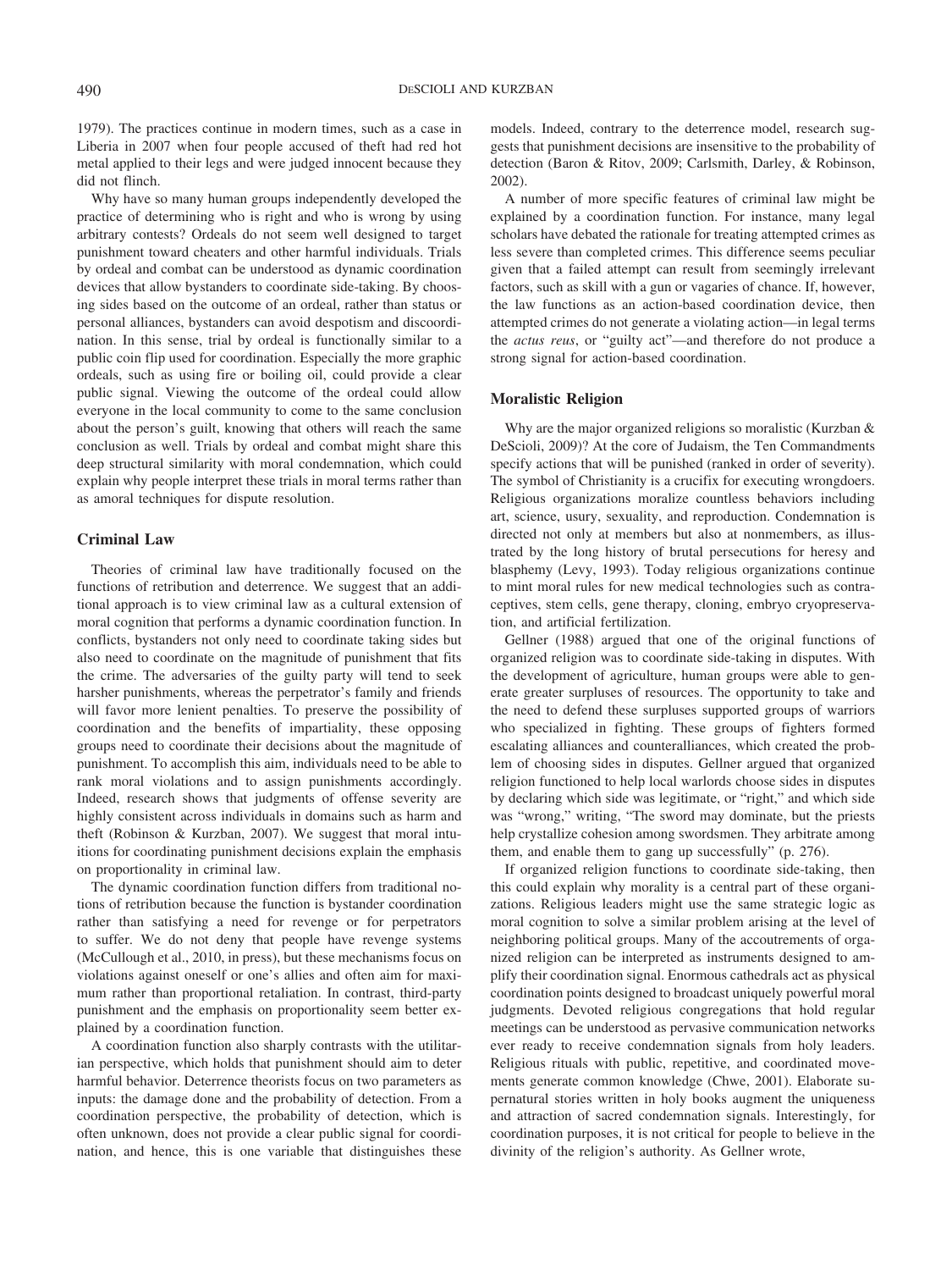1979). The practices continue in modern times, such as a case in Liberia in 2007 when four people accused of theft had red hot metal applied to their legs and were judged innocent because they did not flinch.

Why have so many human groups independently developed the practice of determining who is right and who is wrong by using arbitrary contests? Ordeals do not seem well designed to target punishment toward cheaters and other harmful individuals. Trials by ordeal and combat can be understood as dynamic coordination devices that allow bystanders to coordinate side-taking. By choosing sides based on the outcome of an ordeal, rather than status or personal alliances, bystanders can avoid despotism and discoordination. In this sense, trial by ordeal is functionally similar to a public coin flip used for coordination. Especially the more graphic ordeals, such as using fire or boiling oil, could provide a clear public signal. Viewing the outcome of the ordeal could allow everyone in the local community to come to the same conclusion about the person's guilt, knowing that others will reach the same conclusion as well. Trials by ordeal and combat might share this deep structural similarity with moral condemnation, which could explain why people interpret these trials in moral terms rather than as amoral techniques for dispute resolution.

## **Criminal Law**

Theories of criminal law have traditionally focused on the functions of retribution and deterrence. We suggest that an additional approach is to view criminal law as a cultural extension of moral cognition that performs a dynamic coordination function. In conflicts, bystanders not only need to coordinate taking sides but also need to coordinate on the magnitude of punishment that fits the crime. The adversaries of the guilty party will tend to seek harsher punishments, whereas the perpetrator's family and friends will favor more lenient penalties. To preserve the possibility of coordination and the benefits of impartiality, these opposing groups need to coordinate their decisions about the magnitude of punishment. To accomplish this aim, individuals need to be able to rank moral violations and to assign punishments accordingly. Indeed, research shows that judgments of offense severity are highly consistent across individuals in domains such as harm and theft (Robinson & Kurzban, 2007). We suggest that moral intuitions for coordinating punishment decisions explain the emphasis on proportionality in criminal law.

The dynamic coordination function differs from traditional notions of retribution because the function is bystander coordination rather than satisfying a need for revenge or for perpetrators to suffer. We do not deny that people have revenge systems (McCullough et al., 2010, in press), but these mechanisms focus on violations against oneself or one's allies and often aim for maximum rather than proportional retaliation. In contrast, third-party punishment and the emphasis on proportionality seem better explained by a coordination function.

A coordination function also sharply contrasts with the utilitarian perspective, which holds that punishment should aim to deter harmful behavior. Deterrence theorists focus on two parameters as inputs: the damage done and the probability of detection. From a coordination perspective, the probability of detection, which is often unknown, does not provide a clear public signal for coordination, and hence, this is one variable that distinguishes these

models. Indeed, contrary to the deterrence model, research suggests that punishment decisions are insensitive to the probability of detection (Baron & Ritov, 2009; Carlsmith, Darley, & Robinson, 2002).

A number of more specific features of criminal law might be explained by a coordination function. For instance, many legal scholars have debated the rationale for treating attempted crimes as less severe than completed crimes. This difference seems peculiar given that a failed attempt can result from seemingly irrelevant factors, such as skill with a gun or vagaries of chance. If, however, the law functions as an action-based coordination device, then attempted crimes do not generate a violating action—in legal terms the *actus reus*, or "guilty act"—and therefore do not produce a strong signal for action-based coordination.

## **Moralistic Religion**

Why are the major organized religions so moralistic (Kurzban & DeScioli, 2009)? At the core of Judaism, the Ten Commandments specify actions that will be punished (ranked in order of severity). The symbol of Christianity is a crucifix for executing wrongdoers. Religious organizations moralize countless behaviors including art, science, usury, sexuality, and reproduction. Condemnation is directed not only at members but also at nonmembers, as illustrated by the long history of brutal persecutions for heresy and blasphemy (Levy, 1993). Today religious organizations continue to mint moral rules for new medical technologies such as contraceptives, stem cells, gene therapy, cloning, embryo cryopreservation, and artificial fertilization.

Gellner (1988) argued that one of the original functions of organized religion was to coordinate side-taking in disputes. With the development of agriculture, human groups were able to generate greater surpluses of resources. The opportunity to take and the need to defend these surpluses supported groups of warriors who specialized in fighting. These groups of fighters formed escalating alliances and counteralliances, which created the problem of choosing sides in disputes. Gellner argued that organized religion functioned to help local warlords choose sides in disputes by declaring which side was legitimate, or "right," and which side was "wrong," writing, "The sword may dominate, but the priests help crystallize cohesion among swordsmen. They arbitrate among them, and enable them to gang up successfully" (p. 276).

If organized religion functions to coordinate side-taking, then this could explain why morality is a central part of these organizations. Religious leaders might use the same strategic logic as moral cognition to solve a similar problem arising at the level of neighboring political groups. Many of the accoutrements of organized religion can be interpreted as instruments designed to amplify their coordination signal. Enormous cathedrals act as physical coordination points designed to broadcast uniquely powerful moral judgments. Devoted religious congregations that hold regular meetings can be understood as pervasive communication networks ever ready to receive condemnation signals from holy leaders. Religious rituals with public, repetitive, and coordinated movements generate common knowledge (Chwe, 2001). Elaborate supernatural stories written in holy books augment the uniqueness and attraction of sacred condemnation signals. Interestingly, for coordination purposes, it is not critical for people to believe in the divinity of the religion's authority. As Gellner wrote,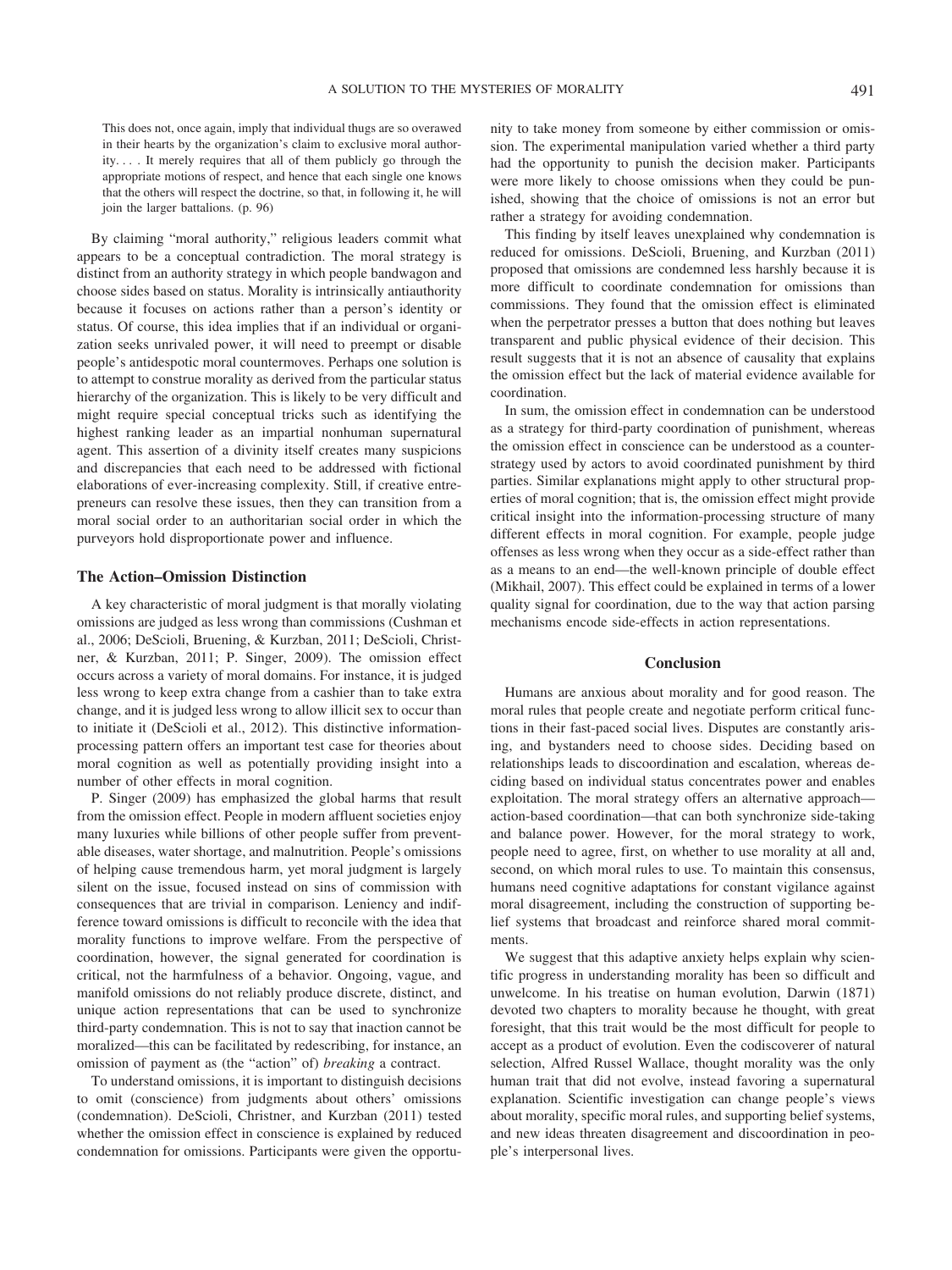This does not, once again, imply that individual thugs are so overawed in their hearts by the organization's claim to exclusive moral authority. . . . It merely requires that all of them publicly go through the appropriate motions of respect, and hence that each single one knows that the others will respect the doctrine, so that, in following it, he will join the larger battalions. (p. 96)

By claiming "moral authority," religious leaders commit what appears to be a conceptual contradiction. The moral strategy is distinct from an authority strategy in which people bandwagon and choose sides based on status. Morality is intrinsically antiauthority because it focuses on actions rather than a person's identity or status. Of course, this idea implies that if an individual or organization seeks unrivaled power, it will need to preempt or disable people's antidespotic moral countermoves. Perhaps one solution is to attempt to construe morality as derived from the particular status hierarchy of the organization. This is likely to be very difficult and might require special conceptual tricks such as identifying the highest ranking leader as an impartial nonhuman supernatural agent. This assertion of a divinity itself creates many suspicions and discrepancies that each need to be addressed with fictional elaborations of ever-increasing complexity. Still, if creative entrepreneurs can resolve these issues, then they can transition from a moral social order to an authoritarian social order in which the purveyors hold disproportionate power and influence.

#### **The Action–Omission Distinction**

A key characteristic of moral judgment is that morally violating omissions are judged as less wrong than commissions (Cushman et al., 2006; DeScioli, Bruening, & Kurzban, 2011; DeScioli, Christner, & Kurzban, 2011; P. Singer, 2009). The omission effect occurs across a variety of moral domains. For instance, it is judged less wrong to keep extra change from a cashier than to take extra change, and it is judged less wrong to allow illicit sex to occur than to initiate it (DeScioli et al., 2012). This distinctive informationprocessing pattern offers an important test case for theories about moral cognition as well as potentially providing insight into a number of other effects in moral cognition.

P. Singer (2009) has emphasized the global harms that result from the omission effect. People in modern affluent societies enjoy many luxuries while billions of other people suffer from preventable diseases, water shortage, and malnutrition. People's omissions of helping cause tremendous harm, yet moral judgment is largely silent on the issue, focused instead on sins of commission with consequences that are trivial in comparison. Leniency and indifference toward omissions is difficult to reconcile with the idea that morality functions to improve welfare. From the perspective of coordination, however, the signal generated for coordination is critical, not the harmfulness of a behavior. Ongoing, vague, and manifold omissions do not reliably produce discrete, distinct, and unique action representations that can be used to synchronize third-party condemnation. This is not to say that inaction cannot be moralized—this can be facilitated by redescribing, for instance, an omission of payment as (the "action" of) *breaking* a contract.

To understand omissions, it is important to distinguish decisions to omit (conscience) from judgments about others' omissions (condemnation). DeScioli, Christner, and Kurzban (2011) tested whether the omission effect in conscience is explained by reduced condemnation for omissions. Participants were given the opportunity to take money from someone by either commission or omission. The experimental manipulation varied whether a third party had the opportunity to punish the decision maker. Participants were more likely to choose omissions when they could be punished, showing that the choice of omissions is not an error but rather a strategy for avoiding condemnation.

This finding by itself leaves unexplained why condemnation is reduced for omissions. DeScioli, Bruening, and Kurzban (2011) proposed that omissions are condemned less harshly because it is more difficult to coordinate condemnation for omissions than commissions. They found that the omission effect is eliminated when the perpetrator presses a button that does nothing but leaves transparent and public physical evidence of their decision. This result suggests that it is not an absence of causality that explains the omission effect but the lack of material evidence available for coordination.

In sum, the omission effect in condemnation can be understood as a strategy for third-party coordination of punishment, whereas the omission effect in conscience can be understood as a counterstrategy used by actors to avoid coordinated punishment by third parties. Similar explanations might apply to other structural properties of moral cognition; that is, the omission effect might provide critical insight into the information-processing structure of many different effects in moral cognition. For example, people judge offenses as less wrong when they occur as a side-effect rather than as a means to an end—the well-known principle of double effect (Mikhail, 2007). This effect could be explained in terms of a lower quality signal for coordination, due to the way that action parsing mechanisms encode side-effects in action representations.

#### **Conclusion**

Humans are anxious about morality and for good reason. The moral rules that people create and negotiate perform critical functions in their fast-paced social lives. Disputes are constantly arising, and bystanders need to choose sides. Deciding based on relationships leads to discoordination and escalation, whereas deciding based on individual status concentrates power and enables exploitation. The moral strategy offers an alternative approach action-based coordination—that can both synchronize side-taking and balance power. However, for the moral strategy to work, people need to agree, first, on whether to use morality at all and, second, on which moral rules to use. To maintain this consensus, humans need cognitive adaptations for constant vigilance against moral disagreement, including the construction of supporting belief systems that broadcast and reinforce shared moral commitments.

We suggest that this adaptive anxiety helps explain why scientific progress in understanding morality has been so difficult and unwelcome. In his treatise on human evolution, Darwin (1871) devoted two chapters to morality because he thought, with great foresight, that this trait would be the most difficult for people to accept as a product of evolution. Even the codiscoverer of natural selection, Alfred Russel Wallace, thought morality was the only human trait that did not evolve, instead favoring a supernatural explanation. Scientific investigation can change people's views about morality, specific moral rules, and supporting belief systems, and new ideas threaten disagreement and discoordination in people's interpersonal lives.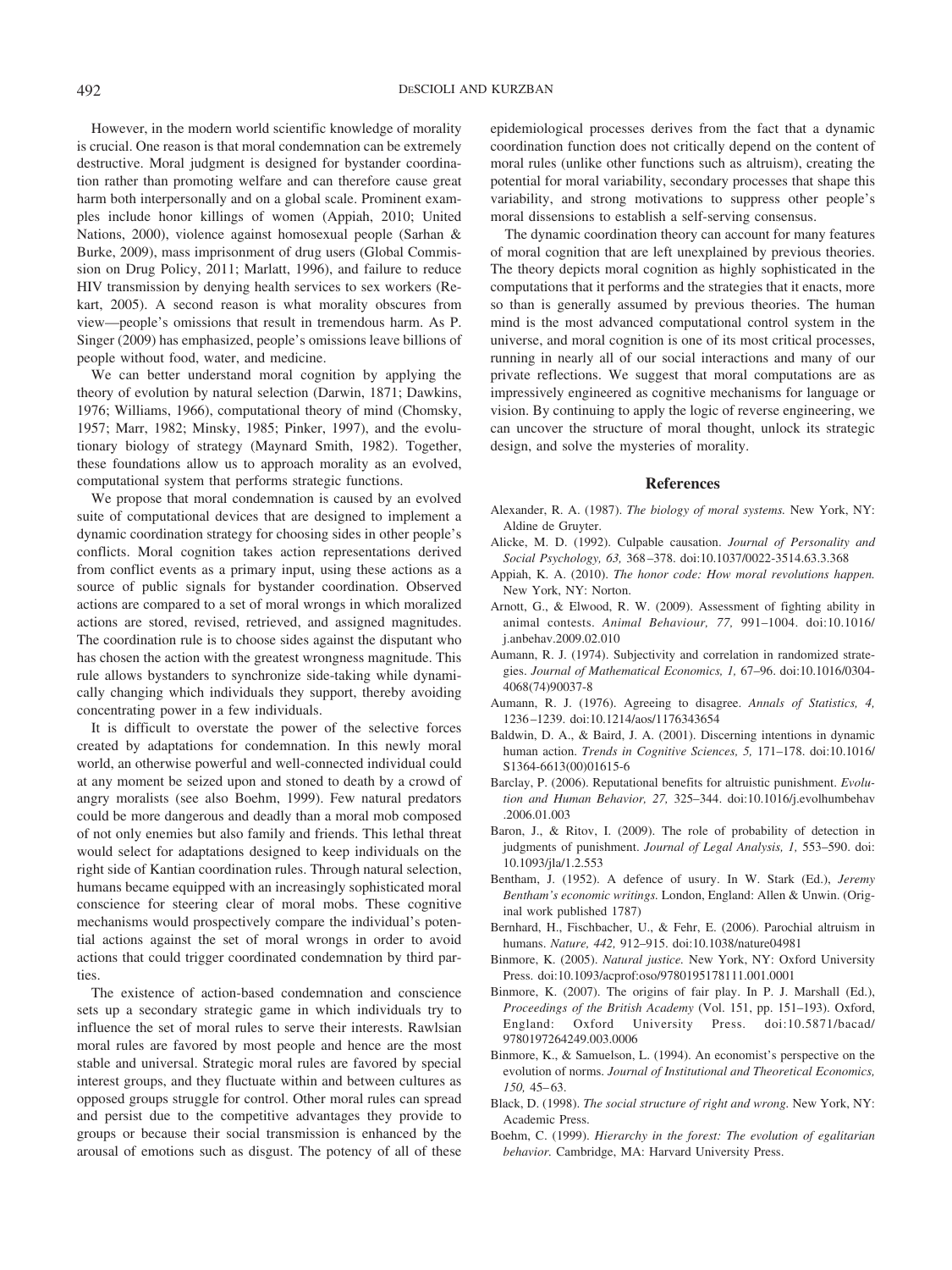However, in the modern world scientific knowledge of morality is crucial. One reason is that moral condemnation can be extremely destructive. Moral judgment is designed for bystander coordination rather than promoting welfare and can therefore cause great harm both interpersonally and on a global scale. Prominent examples include honor killings of women (Appiah, 2010; United Nations, 2000), violence against homosexual people (Sarhan & Burke, 2009), mass imprisonment of drug users (Global Commission on Drug Policy, 2011; Marlatt, 1996), and failure to reduce HIV transmission by denying health services to sex workers (Rekart, 2005). A second reason is what morality obscures from view—people's omissions that result in tremendous harm. As P. Singer (2009) has emphasized, people's omissions leave billions of people without food, water, and medicine.

We can better understand moral cognition by applying the theory of evolution by natural selection (Darwin, 1871; Dawkins, 1976; Williams, 1966), computational theory of mind (Chomsky, 1957; Marr, 1982; Minsky, 1985; Pinker, 1997), and the evolutionary biology of strategy (Maynard Smith, 1982). Together, these foundations allow us to approach morality as an evolved, computational system that performs strategic functions.

We propose that moral condemnation is caused by an evolved suite of computational devices that are designed to implement a dynamic coordination strategy for choosing sides in other people's conflicts. Moral cognition takes action representations derived from conflict events as a primary input, using these actions as a source of public signals for bystander coordination. Observed actions are compared to a set of moral wrongs in which moralized actions are stored, revised, retrieved, and assigned magnitudes. The coordination rule is to choose sides against the disputant who has chosen the action with the greatest wrongness magnitude. This rule allows bystanders to synchronize side-taking while dynamically changing which individuals they support, thereby avoiding concentrating power in a few individuals.

It is difficult to overstate the power of the selective forces created by adaptations for condemnation. In this newly moral world, an otherwise powerful and well-connected individual could at any moment be seized upon and stoned to death by a crowd of angry moralists (see also Boehm, 1999). Few natural predators could be more dangerous and deadly than a moral mob composed of not only enemies but also family and friends. This lethal threat would select for adaptations designed to keep individuals on the right side of Kantian coordination rules. Through natural selection, humans became equipped with an increasingly sophisticated moral conscience for steering clear of moral mobs. These cognitive mechanisms would prospectively compare the individual's potential actions against the set of moral wrongs in order to avoid actions that could trigger coordinated condemnation by third parties.

The existence of action-based condemnation and conscience sets up a secondary strategic game in which individuals try to influence the set of moral rules to serve their interests. Rawlsian moral rules are favored by most people and hence are the most stable and universal. Strategic moral rules are favored by special interest groups, and they fluctuate within and between cultures as opposed groups struggle for control. Other moral rules can spread and persist due to the competitive advantages they provide to groups or because their social transmission is enhanced by the arousal of emotions such as disgust. The potency of all of these

epidemiological processes derives from the fact that a dynamic coordination function does not critically depend on the content of moral rules (unlike other functions such as altruism), creating the potential for moral variability, secondary processes that shape this variability, and strong motivations to suppress other people's moral dissensions to establish a self-serving consensus.

The dynamic coordination theory can account for many features of moral cognition that are left unexplained by previous theories. The theory depicts moral cognition as highly sophisticated in the computations that it performs and the strategies that it enacts, more so than is generally assumed by previous theories. The human mind is the most advanced computational control system in the universe, and moral cognition is one of its most critical processes, running in nearly all of our social interactions and many of our private reflections. We suggest that moral computations are as impressively engineered as cognitive mechanisms for language or vision. By continuing to apply the logic of reverse engineering, we can uncover the structure of moral thought, unlock its strategic design, and solve the mysteries of morality.

#### **References**

- Alexander, R. A. (1987). *The biology of moral systems.* New York, NY: Aldine de Gruyter.
- Alicke, M. D. (1992). Culpable causation. *Journal of Personality and Social Psychology, 63,* 368–378. [doi:10.1037/0022-3514.63.3.368](http://dx.doi.org/10.1037/0022-3514.63.3.368)
- Appiah, K. A. (2010). *The honor code: How moral revolutions happen.* New York, NY: Norton.
- Arnott, G., & Elwood, R. W. (2009). Assessment of fighting ability in animal contests. *Animal Behaviour, 77,* 991–1004. [doi:10.1016/](http://dx.doi.org/10.1016/j.anbehav.2009.02.010) [j.anbehav.2009.02.010](http://dx.doi.org/10.1016/j.anbehav.2009.02.010)
- Aumann, R. J. (1974). Subjectivity and correlation in randomized strategies. *Journal of Mathematical Economics, 1,* 67–96. [doi:10.1016/0304-](http://dx.doi.org/10.1016/0304-4068%2874%2990037-8) [4068\(74\)90037-8](http://dx.doi.org/10.1016/0304-4068%2874%2990037-8)
- Aumann, R. J. (1976). Agreeing to disagree. *Annals of Statistics, 4,* 1236–1239. [doi:10.1214/aos/1176343654](http://dx.doi.org/10.1214/aos/1176343654)
- Baldwin, D. A., & Baird, J. A. (2001). Discerning intentions in dynamic human action. *Trends in Cognitive Sciences, 5,* 171–178. [doi:10.1016/](http://dx.doi.org/10.1016/S1364-6613%2800%2901615-6) [S1364-6613\(00\)01615-6](http://dx.doi.org/10.1016/S1364-6613%2800%2901615-6)
- Barclay, P. (2006). Reputational benefits for altruistic punishment. *Evolution and Human Behavior, 27,* 325–344. [doi:10.1016/j.evolhumbehav](http://dx.doi.org/10.1016/j.evolhumbehav.2006.01.003) [.2006.01.003](http://dx.doi.org/10.1016/j.evolhumbehav.2006.01.003)
- Baron, J., & Ritov, I. (2009). The role of probability of detection in judgments of punishment. *Journal of Legal Analysis, 1,* 553–590. [doi:](http://dx.doi.org/10.1093/jla/1.2.553) [10.1093/jla/1.2.553](http://dx.doi.org/10.1093/jla/1.2.553)
- Bentham, J. (1952). A defence of usury. In W. Stark (Ed.), *Jeremy Bentham's economic writings.* London, England: Allen & Unwin. (Original work published 1787)
- Bernhard, H., Fischbacher, U., & Fehr, E. (2006). Parochial altruism in humans. *Nature, 442,* 912–915. [doi:10.1038/nature04981](http://dx.doi.org/10.1038/nature04981)
- Binmore, K. (2005). *Natural justice.* New York, NY: Oxford University Press. [doi:10.1093/acprof:oso/9780195178111.001.0001](http://dx.doi.org/10.1093/acprof:oso/9780195178111.001.0001)
- Binmore, K. (2007). The origins of fair play. In P. J. Marshall (Ed.), *Proceedings of the British Academy* (Vol. 151, pp. 151–193). Oxford, England: Oxford University Press. [doi:10.5871/bacad/](http://dx.doi.org/10.5871/bacad/9780197264249.003.0006) [9780197264249.003.0006](http://dx.doi.org/10.5871/bacad/9780197264249.003.0006)
- Binmore, K., & Samuelson, L. (1994). An economist's perspective on the evolution of norms. *Journal of Institutional and Theoretical Economics, 150,* 45–63.
- Black, D. (1998). *The social structure of right and wrong.* New York, NY: Academic Press.
- Boehm, C. (1999). *Hierarchy in the forest: The evolution of egalitarian behavior.* Cambridge, MA: Harvard University Press.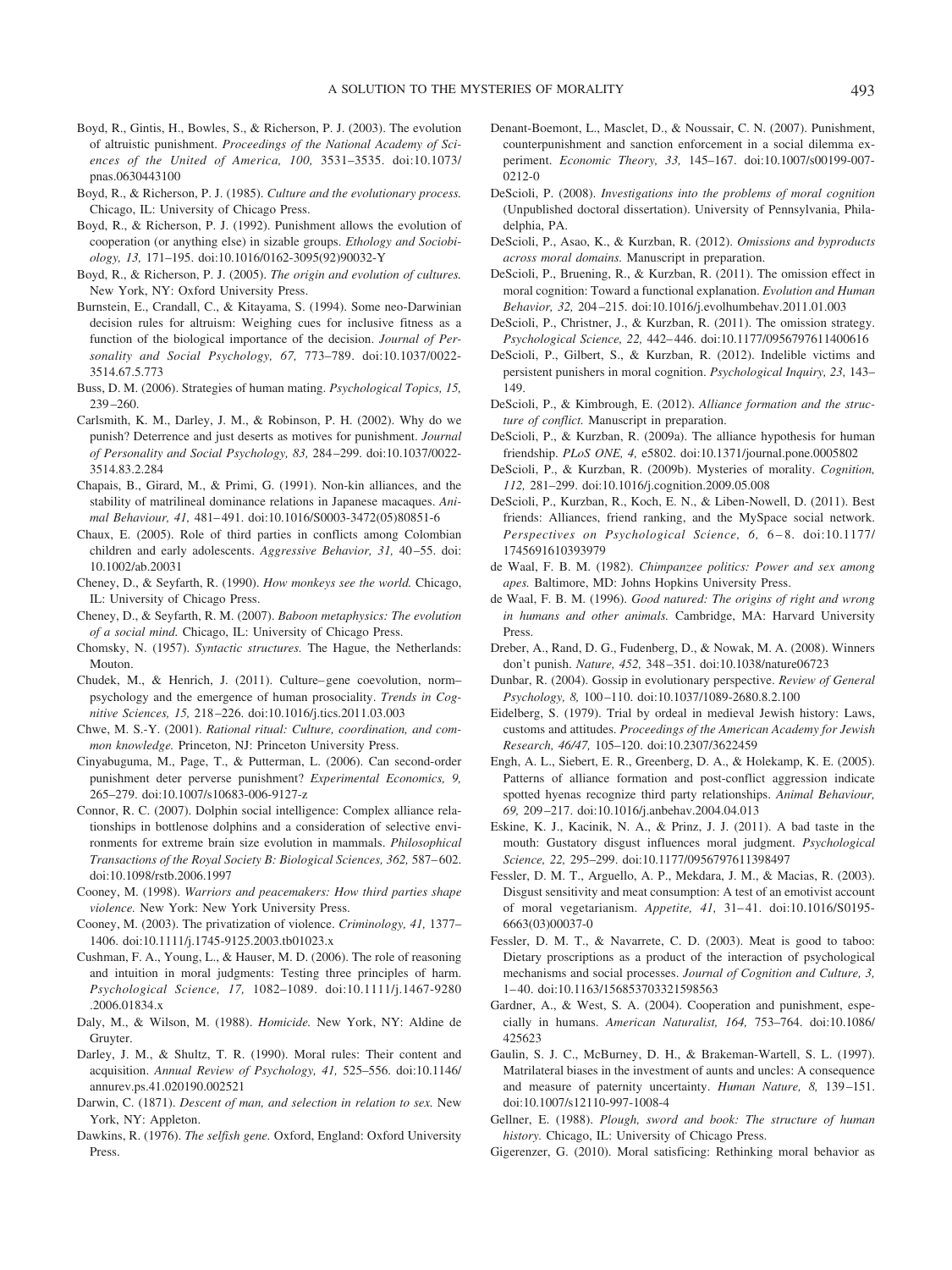- Boyd, R., Gintis, H., Bowles, S., & Richerson, P. J. (2003). The evolution of altruistic punishment. *Proceedings of the National Academy of Sciences of the United of America, 100,* 3531–3535. [doi:10.1073/](http://dx.doi.org/10.1073/pnas.0630443100) [pnas.0630443100](http://dx.doi.org/10.1073/pnas.0630443100)
- Boyd, R., & Richerson, P. J. (1985). *Culture and the evolutionary process.* Chicago, IL: University of Chicago Press.
- Boyd, R., & Richerson, P. J. (1992). Punishment allows the evolution of cooperation (or anything else) in sizable groups. *Ethology and Sociobiology, 13,* 171–195. [doi:10.1016/0162-3095\(92\)90032-Y](http://dx.doi.org/10.1016/0162-3095%2892%2990032-Y)
- Boyd, R., & Richerson, P. J. (2005). *The origin and evolution of cultures.* New York, NY: Oxford University Press.
- Burnstein, E., Crandall, C., & Kitayama, S. (1994). Some neo-Darwinian decision rules for altruism: Weighing cues for inclusive fitness as a function of the biological importance of the decision. *Journal of Personality and Social Psychology, 67,* 773–789. [doi:10.1037/0022-](http://dx.doi.org/10.1037/0022-3514.67.5.773) [3514.67.5.773](http://dx.doi.org/10.1037/0022-3514.67.5.773)
- Buss, D. M. (2006). Strategies of human mating. *Psychological Topics, 15,* 239–260.
- Carlsmith, K. M., Darley, J. M., & Robinson, P. H. (2002). Why do we punish? Deterrence and just deserts as motives for punishment. *Journal of Personality and Social Psychology, 83,* 284–299. [doi:10.1037/0022-](http://dx.doi.org/10.1037/0022-3514.83.2.284) [3514.83.2.284](http://dx.doi.org/10.1037/0022-3514.83.2.284)
- Chapais, B., Girard, M., & Primi, G. (1991). Non-kin alliances, and the stability of matrilineal dominance relations in Japanese macaques. *Animal Behaviour, 41,* 481–491. [doi:10.1016/S0003-3472\(05\)80851-6](http://dx.doi.org/10.1016/S0003-3472%2805%2980851-6)
- Chaux, E. (2005). Role of third parties in conflicts among Colombian children and early adolescents. *Aggressive Behavior, 31,* 40–55. [doi:](http://dx.doi.org/10.1002/ab.20031) [10.1002/ab.20031](http://dx.doi.org/10.1002/ab.20031)
- Cheney, D., & Seyfarth, R. (1990). *How monkeys see the world.* Chicago, IL: University of Chicago Press.
- Cheney, D., & Seyfarth, R. M. (2007). *Baboon metaphysics: The evolution of a social mind.* Chicago, IL: University of Chicago Press.
- Chomsky, N. (1957). *Syntactic structures.* The Hague, the Netherlands: Mouton.
- Chudek, M., & Henrich, J. (2011). Culture–gene coevolution, norm– psychology and the emergence of human prosociality. *Trends in Cognitive Sciences, 15,* 218–226. [doi:10.1016/j.tics.2011.03.003](http://dx.doi.org/10.1016/j.tics.2011.03.003)
- Chwe, M. S.-Y. (2001). *Rational ritual: Culture, coordination, and common knowledge.* Princeton, NJ: Princeton University Press.
- Cinyabuguma, M., Page, T., & Putterman, L. (2006). Can second-order punishment deter perverse punishment? *Experimental Economics, 9,* 265–279. [doi:10.1007/s10683-006-9127-z](http://dx.doi.org/10.1007/s10683-006-9127-z)
- Connor, R. C. (2007). Dolphin social intelligence: Complex alliance relationships in bottlenose dolphins and a consideration of selective environments for extreme brain size evolution in mammals. *Philosophical Transactions of the Royal Society B: Biological Sciences, 362,* 587–602. [doi:10.1098/rstb.2006.1997](http://dx.doi.org/10.1098/rstb.2006.1997)
- Cooney, M. (1998). *Warriors and peacemakers: How third parties shape violence.* New York: New York University Press.
- Cooney, M. (2003). The privatization of violence. *Criminology, 41,* 1377– 1406. [doi:10.1111/j.1745-9125.2003.tb01023.x](http://dx.doi.org/10.1111/j.1745-9125.2003.tb01023.x)
- Cushman, F. A., Young, L., & Hauser, M. D. (2006). The role of reasoning and intuition in moral judgments: Testing three principles of harm. *Psychological Science, 17,* 1082–1089. [doi:10.1111/j.1467-9280](http://dx.doi.org/10.1111/j.1467-9280.2006.01834.x) [.2006.01834.x](http://dx.doi.org/10.1111/j.1467-9280.2006.01834.x)
- Daly, M., & Wilson, M. (1988). *Homicide.* New York, NY: Aldine de Gruyter.
- Darley, J. M., & Shultz, T. R. (1990). Moral rules: Their content and acquisition. *Annual Review of Psychology, 41,* 525–556. [doi:10.1146/](http://dx.doi.org/10.1146/annurev.ps.41.020190.002521) [annurev.ps.41.020190.002521](http://dx.doi.org/10.1146/annurev.ps.41.020190.002521)
- Darwin, C. (1871). *Descent of man, and selection in relation to sex.* New York, NY: Appleton.
- Dawkins, R. (1976). *The selfish gene.* Oxford, England: Oxford University Press.
- Denant-Boemont, L., Masclet, D., & Noussair, C. N. (2007). Punishment, counterpunishment and sanction enforcement in a social dilemma experiment. *Economic Theory, 33,* 145–167. [doi:10.1007/s00199-007-](http://dx.doi.org/10.1007/s00199-007-0212-0) [0212-0](http://dx.doi.org/10.1007/s00199-007-0212-0)
- DeScioli, P. (2008). *Investigations into the problems of moral cognition* (Unpublished doctoral dissertation). University of Pennsylvania, Philadelphia, PA.
- DeScioli, P., Asao, K., & Kurzban, R. (2012). *Omissions and byproducts across moral domains.* Manuscript in preparation.
- DeScioli, P., Bruening, R., & Kurzban, R. (2011). The omission effect in moral cognition: Toward a functional explanation. *Evolution and Human Behavior, 32,* 204–215. [doi:10.1016/j.evolhumbehav.2011.01.003](http://dx.doi.org/10.1016/j.evolhumbehav.2011.01.003)
- DeScioli, P., Christner, J., & Kurzban, R. (2011). The omission strategy. *Psychological Science, 22,* 442–446. [doi:10.1177/0956797611400616](http://dx.doi.org/10.1177/0956797611400616)
- DeScioli, P., Gilbert, S., & Kurzban, R. (2012). Indelible victims and persistent punishers in moral cognition. *Psychological Inquiry, 23,* 143– 149.
- DeScioli, P., & Kimbrough, E. (2012). *Alliance formation and the structure of conflict.* Manuscript in preparation.
- DeScioli, P., & Kurzban, R. (2009a). The alliance hypothesis for human friendship. *PLoS ONE, 4,* e5802. [doi:10.1371/journal.pone.0005802](http://dx.doi.org/10.1371/journal.pone.0005802)
- DeScioli, P., & Kurzban, R. (2009b). Mysteries of morality. *Cognition, 112,* 281–299. [doi:10.1016/j.cognition.2009.05.008](http://dx.doi.org/10.1016/j.cognition.2009.05.008)
- DeScioli, P., Kurzban, R., Koch, E. N., & Liben-Nowell, D. (2011). Best friends: Alliances, friend ranking, and the MySpace social network. *Perspectives on Psychological Science, 6,* 6–8. [doi:10.1177/](http://dx.doi.org/10.1177/1745691610393979) [1745691610393979](http://dx.doi.org/10.1177/1745691610393979)
- de Waal, F. B. M. (1982). *Chimpanzee politics: Power and sex among apes.* Baltimore, MD: Johns Hopkins University Press.
- de Waal, F. B. M. (1996). *Good natured: The origins of right and wrong in humans and other animals.* Cambridge, MA: Harvard University Press.
- Dreber, A., Rand, D. G., Fudenberg, D., & Nowak, M. A. (2008). Winners don't punish. *Nature, 452,* 348–351. [doi:10.1038/nature06723](http://dx.doi.org/10.1038/nature06723)
- Dunbar, R. (2004). Gossip in evolutionary perspective. *Review of General Psychology, 8,* 100–110. [doi:10.1037/1089-2680.8.2.100](http://dx.doi.org/10.1037/1089-2680.8.2.100)
- Eidelberg, S. (1979). Trial by ordeal in medieval Jewish history: Laws, customs and attitudes. *Proceedings of the American Academy for Jewish Research, 46/47,* 105–120. [doi:10.2307/3622459](http://dx.doi.org/10.2307/3622459)
- Engh, A. L., Siebert, E. R., Greenberg, D. A., & Holekamp, K. E. (2005). Patterns of alliance formation and post-conflict aggression indicate spotted hyenas recognize third party relationships. *Animal Behaviour, 69,* 209–217. [doi:10.1016/j.anbehav.2004.04.013](http://dx.doi.org/10.1016/j.anbehav.2004.04.013)
- Eskine, K. J., Kacinik, N. A., & Prinz, J. J. (2011). A bad taste in the mouth: Gustatory disgust influences moral judgment. *Psychological Science, 22,* 295–299. [doi:10.1177/0956797611398497](http://dx.doi.org/10.1177/0956797611398497)
- Fessler, D. M. T., Arguello, A. P., Mekdara, J. M., & Macias, R. (2003). Disgust sensitivity and meat consumption: A test of an emotivist account of moral vegetarianism. *Appetite, 41,* 31–41. [doi:10.1016/S0195-](http://dx.doi.org/10.1016/S0195-6663%2803%2900037-0) [6663\(03\)00037-0](http://dx.doi.org/10.1016/S0195-6663%2803%2900037-0)
- Fessler, D. M. T., & Navarrete, C. D. (2003). Meat is good to taboo: Dietary proscriptions as a product of the interaction of psychological mechanisms and social processes. *Journal of Cognition and Culture, 3,* 1–40. [doi:10.1163/156853703321598563](http://dx.doi.org/10.1163/156853703321598563)
- Gardner, A., & West, S. A. (2004). Cooperation and punishment, especially in humans. *American Naturalist, 164,* 753–764. [doi:10.1086/](http://dx.doi.org/10.1086/425623) [425623](http://dx.doi.org/10.1086/425623)
- Gaulin, S. J. C., McBurney, D. H., & Brakeman-Wartell, S. L. (1997). Matrilateral biases in the investment of aunts and uncles: A consequence and measure of paternity uncertainty. *Human Nature, 8,* 139–151. [doi:10.1007/s12110-997-1008-4](http://dx.doi.org/10.1007/s12110-997-1008-4)
- Gellner, E. (1988). *Plough, sword and book: The structure of human history.* Chicago, IL: University of Chicago Press.
- Gigerenzer, G. (2010). Moral satisficing: Rethinking moral behavior as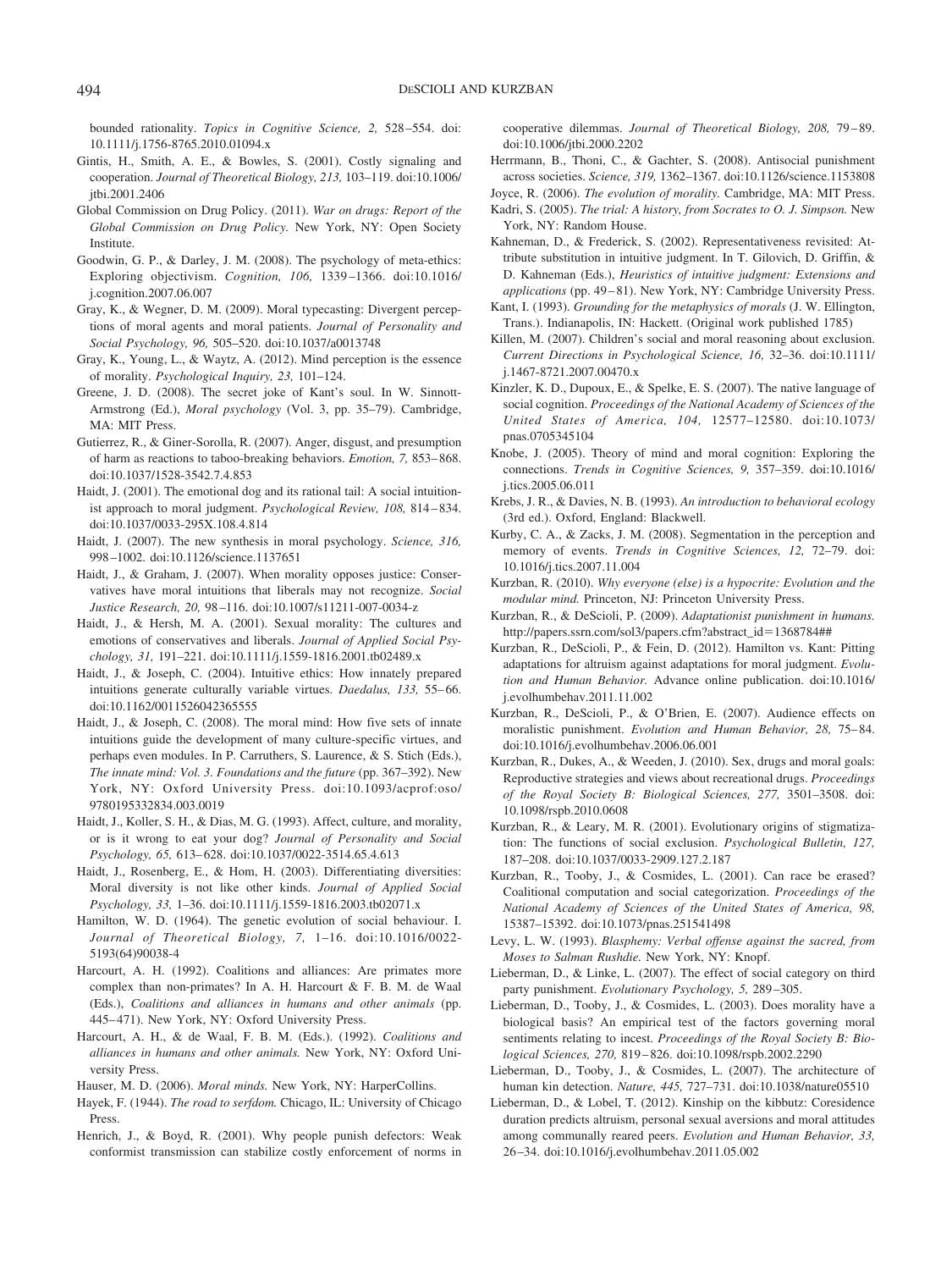bounded rationality. *Topics in Cognitive Science, 2,* 528–554. [doi:](http://dx.doi.org/10.1111/j.1756-8765.2010.01094.x) [10.1111/j.1756-8765.2010.01094.x](http://dx.doi.org/10.1111/j.1756-8765.2010.01094.x)

- Gintis, H., Smith, A. E., & Bowles, S. (2001). Costly signaling and cooperation. *Journal of Theoretical Biology, 213,* 103–119. [doi:10.1006/](http://dx.doi.org/10.1006/jtbi.2001.2406) [jtbi.2001.2406](http://dx.doi.org/10.1006/jtbi.2001.2406)
- Global Commission on Drug Policy. (2011). *War on drugs: Report of the Global Commission on Drug Policy.* New York, NY: Open Society Institute.
- Goodwin, G. P., & Darley, J. M. (2008). The psychology of meta-ethics: Exploring objectivism. *Cognition, 106,* 1339–1366. [doi:10.1016/](http://dx.doi.org/10.1016/j.cognition.2007.06.007) [j.cognition.2007.06.007](http://dx.doi.org/10.1016/j.cognition.2007.06.007)
- Gray, K., & Wegner, D. M. (2009). Moral typecasting: Divergent perceptions of moral agents and moral patients. *Journal of Personality and Social Psychology, 96,* 505–520. [doi:10.1037/a0013748](http://dx.doi.org/10.1037/a0013748)
- Gray, K., Young, L., & Waytz, A. (2012). Mind perception is the essence of morality. *Psychological Inquiry, 23,* 101–124.
- Greene, J. D. (2008). The secret joke of Kant's soul. In W. Sinnott-Armstrong (Ed.), *Moral psychology* (Vol. 3, pp. 35–79). Cambridge, MA: MIT Press.
- Gutierrez, R., & Giner-Sorolla, R. (2007). Anger, disgust, and presumption of harm as reactions to taboo-breaking behaviors. *Emotion, 7,* 853–868. [doi:10.1037/1528-3542.7.4.853](http://dx.doi.org/10.1037/1528-3542.7.4.853)
- Haidt, J. (2001). The emotional dog and its rational tail: A social intuitionist approach to moral judgment. *Psychological Review, 108,* 814–834. [doi:10.1037/0033-295X.108.4.814](http://dx.doi.org/10.1037/0033-295X.108.4.814)
- Haidt, J. (2007). The new synthesis in moral psychology. *Science, 316,* 998–1002. [doi:10.1126/science.1137651](http://dx.doi.org/10.1126/science.1137651)
- Haidt, J., & Graham, J. (2007). When morality opposes justice: Conservatives have moral intuitions that liberals may not recognize. *Social Justice Research, 20,* 98–116. [doi:10.1007/s11211-007-0034-z](http://dx.doi.org/10.1007/s11211-007-0034-z)
- Haidt, J., & Hersh, M. A. (2001). Sexual morality: The cultures and emotions of conservatives and liberals. *Journal of Applied Social Psychology, 31,* 191–221. [doi:10.1111/j.1559-1816.2001.tb02489.x](http://dx.doi.org/10.1111/j.1559-1816.2001.tb02489.x)
- Haidt, J., & Joseph, C. (2004). Intuitive ethics: How innately prepared intuitions generate culturally variable virtues. *Daedalus, 133,* 55–66. [doi:10.1162/0011526042365555](http://dx.doi.org/10.1162/0011526042365555)
- Haidt, J., & Joseph, C. (2008). The moral mind: How five sets of innate intuitions guide the development of many culture-specific virtues, and perhaps even modules. In P. Carruthers, S. Laurence, & S. Stich (Eds.), *The innate mind: Vol. 3. Foundations and the future* (pp. 367–392). New York, NY: Oxford University Press. [doi:10.1093/acprof:oso/](http://dx.doi.org/10.1093/acprof:oso/9780195332834.003.0019) [9780195332834.003.0019](http://dx.doi.org/10.1093/acprof:oso/9780195332834.003.0019)
- Haidt, J., Koller, S. H., & Dias, M. G. (1993). Affect, culture, and morality, or is it wrong to eat your dog? *Journal of Personality and Social Psychology, 65,* 613–628. [doi:10.1037/0022-3514.65.4.613](http://dx.doi.org/10.1037/0022-3514.65.4.613)
- Haidt, J., Rosenberg, E., & Hom, H. (2003). Differentiating diversities: Moral diversity is not like other kinds. *Journal of Applied Social Psychology, 33,* 1–36. [doi:10.1111/j.1559-1816.2003.tb02071.x](http://dx.doi.org/10.1111/j.1559-1816.2003.tb02071.x)
- Hamilton, W. D. (1964). The genetic evolution of social behaviour. I. *Journal of Theoretical Biology, 7,* 1–16. [doi:10.1016/0022-](http://dx.doi.org/10.1016/0022-5193%2864%2990038-4) [5193\(64\)90038-4](http://dx.doi.org/10.1016/0022-5193%2864%2990038-4)
- Harcourt, A. H. (1992). Coalitions and alliances: Are primates more complex than non-primates? In A. H. Harcourt & F. B. M. de Waal (Eds.), *Coalitions and alliances in humans and other animals* (pp. 445–471). New York, NY: Oxford University Press.
- Harcourt, A. H., & de Waal, F. B. M. (Eds.). (1992). *Coalitions and alliances in humans and other animals.* New York, NY: Oxford University Press.
- Hauser, M. D. (2006). *Moral minds.* New York, NY: HarperCollins.
- Hayek, F. (1944). *The road to serfdom.* Chicago, IL: University of Chicago Press.
- Henrich, J., & Boyd, R. (2001). Why people punish defectors: Weak conformist transmission can stabilize costly enforcement of norms in

cooperative dilemmas. *Journal of Theoretical Biology, 208,* 79–89. [doi:10.1006/jtbi.2000.2202](http://dx.doi.org/10.1006/jtbi.2000.2202)

Herrmann, B., Thoni, C., & Gachter, S. (2008). Antisocial punishment across societies. *Science, 319,* 1362–1367. [doi:10.1126/science.1153808](http://dx.doi.org/10.1126/science.1153808)

- Joyce, R. (2006). *The evolution of morality.* Cambridge, MA: MIT Press. Kadri, S. (2005). *The trial: A history, from Socrates to O. J. Simpson.* New York, NY: Random House.
- Kahneman, D., & Frederick, S. (2002). Representativeness revisited: Attribute substitution in intuitive judgment. In T. Gilovich, D. Griffin, & D. Kahneman (Eds.), *Heuristics of intuitive judgment: Extensions and applications* (pp. 49–81). New York, NY: Cambridge University Press.
- Kant, I. (1993). *Grounding for the metaphysics of morals* (J. W. Ellington, Trans.). Indianapolis, IN: Hackett. (Original work published 1785)
- Killen, M. (2007). Children's social and moral reasoning about exclusion. *Current Directions in Psychological Science, 16,* 32–36. [doi:10.1111/](http://dx.doi.org/10.1111/j.1467-8721.2007.00470.x) [j.1467-8721.2007.00470.x](http://dx.doi.org/10.1111/j.1467-8721.2007.00470.x)
- Kinzler, K. D., Dupoux, E., & Spelke, E. S. (2007). The native language of social cognition. *Proceedings of the National Academy of Sciences of the United States of America, 104,* 12577–12580. [doi:10.1073/](http://dx.doi.org/10.1073/pnas.0705345104) [pnas.0705345104](http://dx.doi.org/10.1073/pnas.0705345104)
- Knobe, J. (2005). Theory of mind and moral cognition: Exploring the connections. *Trends in Cognitive Sciences, 9,* 357–359. [doi:10.1016/](http://dx.doi.org/10.1016/j.tics.2005.06.011) [j.tics.2005.06.011](http://dx.doi.org/10.1016/j.tics.2005.06.011)
- Krebs, J. R., & Davies, N. B. (1993). *An introduction to behavioral ecology* (3rd ed.). Oxford, England: Blackwell.
- Kurby, C. A., & Zacks, J. M. (2008). Segmentation in the perception and memory of events. *Trends in Cognitive Sciences, 12,* 72–79. [doi:](http://dx.doi.org/10.1016/j.tics.2007.11.004) [10.1016/j.tics.2007.11.004](http://dx.doi.org/10.1016/j.tics.2007.11.004)
- Kurzban, R. (2010). *Why everyone (else) is a hypocrite: Evolution and the modular mind.* Princeton, NJ: Princeton University Press.
- Kurzban, R., & DeScioli, P. (2009). *Adaptationist punishment in humans.* [http://papers.ssrn.com/sol3/papers.cfm?abstract\\_id](http://papers.ssrn.com/sol3/papers.cfm?abstract_id=1368784##)=1368784##
- Kurzban, R., DeScioli, P., & Fein, D. (2012). Hamilton vs. Kant: Pitting adaptations for altruism against adaptations for moral judgment. *Evolution and Human Behavior.* Advance online publication. [doi:10.1016/](http://dx.doi.org/10.1016/j.evolhumbehav.2011.11.002) [j.evolhumbehav.2011.11.002](http://dx.doi.org/10.1016/j.evolhumbehav.2011.11.002)
- Kurzban, R., DeScioli, P., & O'Brien, E. (2007). Audience effects on moralistic punishment. *Evolution and Human Behavior, 28,* 75–84. [doi:10.1016/j.evolhumbehav.2006.06.001](http://dx.doi.org/10.1016/j.evolhumbehav.2006.06.001)
- Kurzban, R., Dukes, A., & Weeden, J. (2010). Sex, drugs and moral goals: Reproductive strategies and views about recreational drugs. *Proceedings of the Royal Society B: Biological Sciences, 277,* 3501–3508. [doi:](http://dx.doi.org/10.1098/rspb.2010.0608) [10.1098/rspb.2010.0608](http://dx.doi.org/10.1098/rspb.2010.0608)
- Kurzban, R., & Leary, M. R. (2001). Evolutionary origins of stigmatization: The functions of social exclusion. *Psychological Bulletin, 127,* 187–208. [doi:10.1037/0033-2909.127.2.187](http://dx.doi.org/10.1037/0033-2909.127.2.187)
- Kurzban, R., Tooby, J., & Cosmides, L. (2001). Can race be erased? Coalitional computation and social categorization. *Proceedings of the National Academy of Sciences of the United States of America, 98,* 15387–15392. [doi:10.1073/pnas.251541498](http://dx.doi.org/10.1073/pnas.251541498)
- Levy, L. W. (1993). *Blasphemy: Verbal offense against the sacred, from Moses to Salman Rushdie.* New York, NY: Knopf.
- Lieberman, D., & Linke, L. (2007). The effect of social category on third party punishment. *Evolutionary Psychology, 5,* 289–305.
- Lieberman, D., Tooby, J., & Cosmides, L. (2003). Does morality have a biological basis? An empirical test of the factors governing moral sentiments relating to incest. *Proceedings of the Royal Society B: Biological Sciences, 270,* 819–826. [doi:10.1098/rspb.2002.2290](http://dx.doi.org/10.1098/rspb.2002.2290)
- Lieberman, D., Tooby, J., & Cosmides, L. (2007). The architecture of human kin detection. *Nature, 445,* 727–731. [doi:10.1038/nature05510](http://dx.doi.org/10.1038/nature05510)
- Lieberman, D., & Lobel, T. (2012). Kinship on the kibbutz: Coresidence duration predicts altruism, personal sexual aversions and moral attitudes among communally reared peers. *Evolution and Human Behavior, 33,* 26–34. [doi:10.1016/j.evolhumbehav.2011.05.002](http://dx.doi.org/10.1016/j.evolhumbehav.2011.05.002)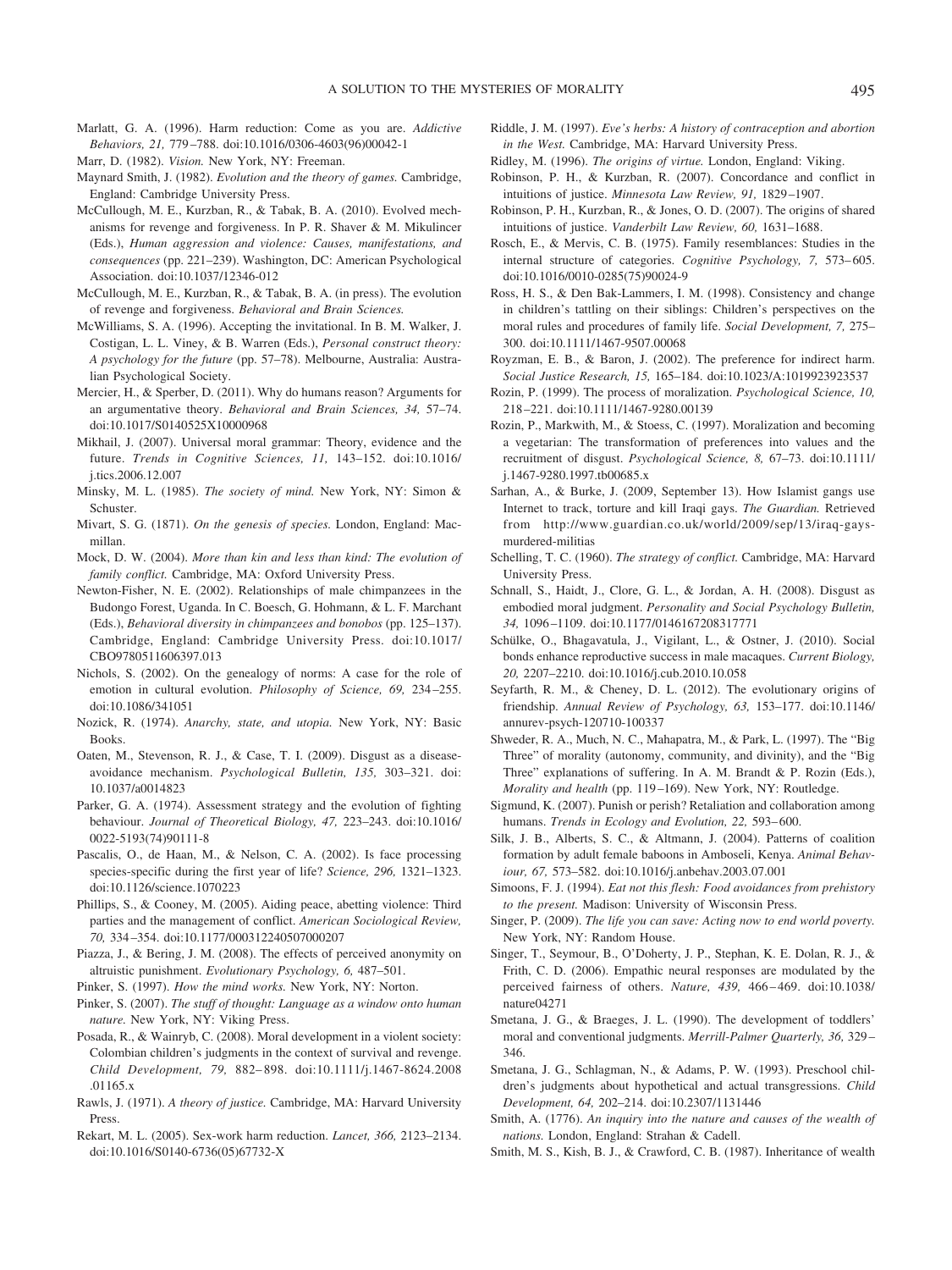Marlatt, G. A. (1996). Harm reduction: Come as you are. *Addictive Behaviors, 21,* 779–788. [doi:10.1016/0306-4603\(96\)00042-1](http://dx.doi.org/10.1016/0306-4603%2896%2900042-1)

- Maynard Smith, J. (1982). *Evolution and the theory of games.* Cambridge, England: Cambridge University Press.
- McCullough, M. E., Kurzban, R., & Tabak, B. A. (2010). Evolved mechanisms for revenge and forgiveness. In P. R. Shaver & M. Mikulincer (Eds.), *Human aggression and violence: Causes, manifestations, and consequences* (pp. 221–239). Washington, DC: American Psychological Association. [doi:10.1037/12346-012](http://dx.doi.org/10.1037/12346-012)
- McCullough, M. E., Kurzban, R., & Tabak, B. A. (in press). The evolution of revenge and forgiveness. *Behavioral and Brain Sciences.*
- McWilliams, S. A. (1996). Accepting the invitational. In B. M. Walker, J. Costigan, L. L. Viney, & B. Warren (Eds.), *Personal construct theory: A psychology for the future* (pp. 57–78). Melbourne, Australia: Australian Psychological Society.
- Mercier, H., & Sperber, D. (2011). Why do humans reason? Arguments for an argumentative theory. *Behavioral and Brain Sciences, 34,* 57–74. [doi:10.1017/S0140525X10000968](http://dx.doi.org/10.1017/S0140525X10000968)
- Mikhail, J. (2007). Universal moral grammar: Theory, evidence and the future. *Trends in Cognitive Sciences, 11,* 143–152. [doi:10.1016/](http://dx.doi.org/10.1016/j.tics.2006.12.007) [j.tics.2006.12.007](http://dx.doi.org/10.1016/j.tics.2006.12.007)
- Minsky, M. L. (1985). *The society of mind.* New York, NY: Simon & Schuster.
- Mivart, S. G. (1871). *On the genesis of species.* London, England: Macmillan.
- Mock, D. W. (2004). *More than kin and less than kind: The evolution of family conflict.* Cambridge, MA: Oxford University Press.
- Newton-Fisher, N. E. (2002). Relationships of male chimpanzees in the Budongo Forest, Uganda. In C. Boesch, G. Hohmann, & L. F. Marchant (Eds.), *Behavioral diversity in chimpanzees and bonobos* (pp. 125–137). Cambridge, England: Cambridge University Press. [doi:10.1017/](http://dx.doi.org/10.1017/CBO9780511606397.013) [CBO9780511606397.013](http://dx.doi.org/10.1017/CBO9780511606397.013)
- Nichols, S. (2002). On the genealogy of norms: A case for the role of emotion in cultural evolution. *Philosophy of Science, 69,* 234–255. [doi:10.1086/341051](http://dx.doi.org/10.1086/341051)
- Nozick, R. (1974). *Anarchy, state, and utopia.* New York, NY: Basic Books.
- Oaten, M., Stevenson, R. J., & Case, T. I. (2009). Disgust as a diseaseavoidance mechanism. *Psychological Bulletin, 135,* 303–321. [doi:](http://dx.doi.org/10.1037/a0014823) [10.1037/a0014823](http://dx.doi.org/10.1037/a0014823)
- Parker, G. A. (1974). Assessment strategy and the evolution of fighting behaviour. *Journal of Theoretical Biology, 47,* 223–243. [doi:10.1016/](http://dx.doi.org/10.1016/0022-5193%2874%2990111-8) [0022-5193\(74\)90111-8](http://dx.doi.org/10.1016/0022-5193%2874%2990111-8)
- Pascalis, O., de Haan, M., & Nelson, C. A. (2002). Is face processing species-specific during the first year of life? *Science, 296,* 1321–1323. [doi:10.1126/science.1070223](http://dx.doi.org/10.1126/science.1070223)
- Phillips, S., & Cooney, M. (2005). Aiding peace, abetting violence: Third parties and the management of conflict. *American Sociological Review, 70,* 334–354. [doi:10.1177/000312240507000207](http://dx.doi.org/10.1177/000312240507000207)
- Piazza, J., & Bering, J. M. (2008). The effects of perceived anonymity on altruistic punishment. *Evolutionary Psychology, 6,* 487–501.
- Pinker, S. (1997). *How the mind works.* New York, NY: Norton.
- Pinker, S. (2007). *The stuff of thought: Language as a window onto human nature.* New York, NY: Viking Press.
- Posada, R., & Wainryb, C. (2008). Moral development in a violent society: Colombian children's judgments in the context of survival and revenge. *Child Development, 79,* 882–898. [doi:10.1111/j.1467-8624.2008](http://dx.doi.org/10.1111/j.1467-8624.2008.01165.x) [.01165.x](http://dx.doi.org/10.1111/j.1467-8624.2008.01165.x)
- Rawls, J. (1971). *A theory of justice.* Cambridge, MA: Harvard University Press.
- Rekart, M. L. (2005). Sex-work harm reduction. *Lancet, 366,* 2123–2134. [doi:10.1016/S0140-6736\(05\)67732-X](http://dx.doi.org/10.1016/S0140-6736%2805%2967732-X)
- Riddle, J. M. (1997). *Eve's herbs: A history of contraception and abortion in the West.* Cambridge, MA: Harvard University Press.
- Ridley, M. (1996). *The origins of virtue.* London, England: Viking.
- Robinson, P. H., & Kurzban, R. (2007). Concordance and conflict in intuitions of justice. *Minnesota Law Review, 91,* 1829–1907.
- Robinson, P. H., Kurzban, R., & Jones, O. D. (2007). The origins of shared intuitions of justice. *Vanderbilt Law Review, 60,* 1631–1688.
- Rosch, E., & Mervis, C. B. (1975). Family resemblances: Studies in the internal structure of categories. *Cognitive Psychology, 7,* 573–605. [doi:10.1016/0010-0285\(75\)90024-9](http://dx.doi.org/10.1016/0010-0285%2875%2990024-9)
- Ross, H. S., & Den Bak-Lammers, I. M. (1998). Consistency and change in children's tattling on their siblings: Children's perspectives on the moral rules and procedures of family life. *Social Development, 7,* 275– 300. [doi:10.1111/1467-9507.00068](http://dx.doi.org/10.1111/1467-9507.00068)
- Royzman, E. B., & Baron, J. (2002). The preference for indirect harm. *Social Justice Research, 15,* 165–184. [doi:10.1023/A:1019923923537](http://dx.doi.org/10.1023/A:1019923923537)
- Rozin, P. (1999). The process of moralization. *Psychological Science, 10,* 218–221. [doi:10.1111/1467-9280.00139](http://dx.doi.org/10.1111/1467-9280.00139)
- Rozin, P., Markwith, M., & Stoess, C. (1997). Moralization and becoming a vegetarian: The transformation of preferences into values and the recruitment of disgust. *Psychological Science, 8,* 67–73. [doi:10.1111/](http://dx.doi.org/10.1111/j.1467-9280.1997.tb00685.x) [j.1467-9280.1997.tb00685.x](http://dx.doi.org/10.1111/j.1467-9280.1997.tb00685.x)
- Sarhan, A., & Burke, J. (2009, September 13). How Islamist gangs use Internet to track, torture and kill Iraqi gays. *The Guardian.* Retrieved from [http://www.guardian.co.uk/world/2009/sep/13/iraq-gays](http://www.guardian.co.uk/world/2009/sep/13/iraq-gays-murdered-militias)[murdered-militias](http://www.guardian.co.uk/world/2009/sep/13/iraq-gays-murdered-militias)
- Schelling, T. C. (1960). *The strategy of conflict.* Cambridge, MA: Harvard University Press.
- Schnall, S., Haidt, J., Clore, G. L., & Jordan, A. H. (2008). Disgust as embodied moral judgment. *Personality and Social Psychology Bulletin, 34,* 1096–1109. [doi:10.1177/0146167208317771](http://dx.doi.org/10.1177/0146167208317771)
- Schülke, O., Bhagavatula, J., Vigilant, L., & Ostner, J. (2010). Social bonds enhance reproductive success in male macaques. *Current Biology, 20,* 2207–2210. [doi:10.1016/j.cub.2010.10.058](http://dx.doi.org/10.1016/j.cub.2010.10.058)
- Seyfarth, R. M., & Cheney, D. L. (2012). The evolutionary origins of friendship. *Annual Review of Psychology, 63,* 153–177. [doi:10.1146/](http://dx.doi.org/10.1146/annurev-psych-120710-100337) [annurev-psych-120710-100337](http://dx.doi.org/10.1146/annurev-psych-120710-100337)
- Shweder, R. A., Much, N. C., Mahapatra, M., & Park, L. (1997). The "Big Three" of morality (autonomy, community, and divinity), and the "Big Three" explanations of suffering. In A. M. Brandt & P. Rozin (Eds.), *Morality and health* (pp. 119–169). New York, NY: Routledge.
- Sigmund, K. (2007). Punish or perish? Retaliation and collaboration among humans. *Trends in Ecology and Evolution, 22,* 593–600.
- Silk, J. B., Alberts, S. C., & Altmann, J. (2004). Patterns of coalition formation by adult female baboons in Amboseli, Kenya. *Animal Behaviour, 67,* 573–582. [doi:10.1016/j.anbehav.2003.07.001](http://dx.doi.org/10.1016/j.anbehav.2003.07.001)
- Simoons, F. J. (1994). *Eat not this flesh: Food avoidances from prehistory to the present.* Madison: University of Wisconsin Press.
- Singer, P. (2009). *The life you can save: Acting now to end world poverty.* New York, NY: Random House.
- Singer, T., Seymour, B., O'Doherty, J. P., Stephan, K. E. Dolan, R. J., & Frith, C. D. (2006). Empathic neural responses are modulated by the perceived fairness of others. *Nature, 439,* 466–469. [doi:10.1038/](http://dx.doi.org/10.1038/nature04271) [nature04271](http://dx.doi.org/10.1038/nature04271)
- Smetana, J. G., & Braeges, J. L. (1990). The development of toddlers' moral and conventional judgments. *Merrill-Palmer Quarterly, 36,* 329– 346.
- Smetana, J. G., Schlagman, N., & Adams, P. W. (1993). Preschool children's judgments about hypothetical and actual transgressions. *Child Development, 64,* 202–214. [doi:10.2307/1131446](http://dx.doi.org/10.2307/1131446)
- Smith, A. (1776). *An inquiry into the nature and causes of the wealth of nations.* London, England: Strahan & Cadell.
- Smith, M. S., Kish, B. J., & Crawford, C. B. (1987). Inheritance of wealth

Marr, D. (1982). *Vision.* New York, NY: Freeman.